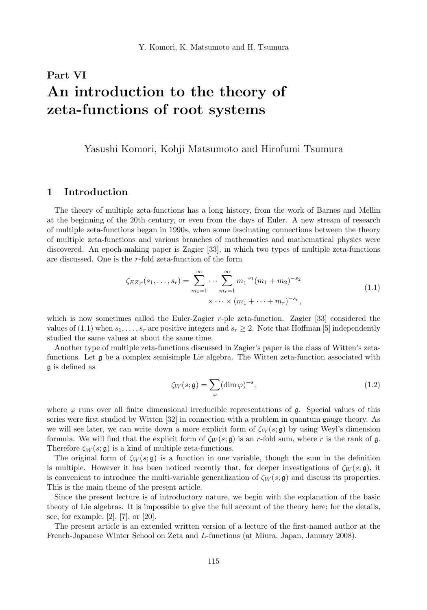# Part VI An introduction to the theory of zeta-functions of root systems

Yasushi Komori, Kohji Matsumoto and Hirofumi Tsumura

# 1 Introduction

The theory of multiple zeta-functions has a long history, from the work of Barnes and Mellin at the beginning of the 20th century, or even from the days of Euler. A new stream of research of multiple zeta-functions began in 1990s, when some fascinating connections between the theory of multiple zeta-functions and various branches of mathematics and mathematical physics were discovered. An epoch-making paper is Zagier [33], in which two types of multiple zeta-functions are discussed. One is the r-fold zeta-function of the form

$$
\zeta_{EZ,r}(s_1,\ldots,s_r) = \sum_{m_1=1}^{\infty} \cdots \sum_{m_r=1}^{\infty} m_1^{-s_1} (m_1 + m_2)^{-s_2}
$$
  
 
$$
\times \cdots \times (m_1 + \cdots + m_r)^{-s_r},
$$
 (1.1)

which is now sometimes called the Euler-Zagier  $r$ -ple zeta-function. Zagier  $[33]$  considered the values of (1.1) when  $s_1, \ldots, s_r$  are positive integers and  $s_r \geq 2$ . Note that Hoffman [5] independently studied the same values at about the same time.

Another type of multiple zeta-functions discussed in Zagier's paper is the class of Witten's zetafunctions. Let g be a complex semisimple Lie algebra. The Witten zeta-function associated with g is defined as

$$
\zeta_W(s; \mathfrak{g}) = \sum_{\varphi} (\dim \varphi)^{-s},\tag{1.2}
$$

where  $\varphi$  runs over all finite dimensional irreducible representations of  $\mathfrak{g}$ . Special values of this series were first studied by Witten [32] in connection with a problem in quantum gauge theory. As we will see later, we can write down a more explicit form of  $\zeta_W(s; \mathfrak{g})$  by using Weyl's dimension formula. We will find that the explicit form of  $\zeta_W(s; \mathfrak{g})$  is an r-fold sum, where r is the rank of g. Therefore  $\zeta_W(s; \mathfrak{g})$  is a kind of multiple zeta-functions.

The original form of  $\zeta_W(s; \mathfrak{g})$  is a function in one variable, though the sum in the definition is multiple. However it has been noticed recently that, for deeper investigations of  $\zeta_W(s; \mathfrak{g})$ , it is convenient to introduce the multi-variable generalization of  $\zeta_W(s; \mathfrak{g})$  and discuss its properties. This is the main theme of the present article.

Since the present lecture is of introductory nature, we begin with the explanation of the basic theory of Lie algebras. It is impossible to give the full account of the theory here; for the details, see, for example, [2], [7], or [20].

The present article is an extended written version of a lecture of the first-named author at the French-Japanese Winter School on Zeta and L-functions (at Miura, Japan, January 2008).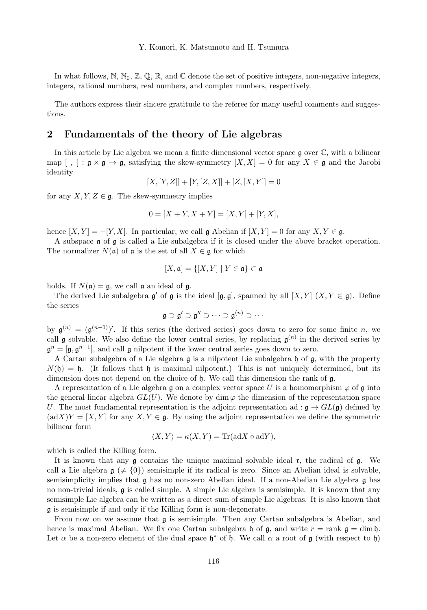In what follows, N, N<sub>0</sub>, Z, Q, R, and C denote the set of positive integers, non-negative integers, integers, rational numbers, real numbers, and complex numbers, respectively.

The authors express their sincere gratitude to the referee for many useful comments and suggestions.

# 2 Fundamentals of the theory of Lie algebras

In this article by Lie algebra we mean a finite dimensional vector space  $\mathfrak g$  over  $\mathbb C$ , with a bilinear map  $[ , ] : \mathfrak{g} \times \mathfrak{g} \to \mathfrak{g}$ , satisfying the skew-symmetry  $[X, X] = 0$  for any  $X \in \mathfrak{g}$  and the Jacobi identity

$$
[X,[Y,Z]] + [Y,[Z,X]] + [Z,[X,Y]] = 0
$$

for any  $X, Y, Z \in \mathfrak{g}$ . The skew-symmetry implies

$$
0 = [X + Y, X + Y] = [X, Y] + [Y, X],
$$

hence  $[X, Y] = -[Y, X]$ . In particular, we call g Abelian if  $[X, Y] = 0$  for any  $X, Y \in \mathfrak{g}$ .

A subspace a of g is called a Lie subalgebra if it is closed under the above bracket operation. The normalizer  $N(\mathfrak{a})$  of  $\mathfrak{a}$  is the set of all  $X \in \mathfrak{g}$  for which

$$
[X,\mathfrak{a}]=\{[X,Y]\mid Y\in\mathfrak{a}\}\subset\mathfrak{a}
$$

holds. If  $N(\mathfrak{a}) = \mathfrak{g}$ , we call  $\mathfrak{a}$  an ideal of  $\mathfrak{g}$ .

The derived Lie subalgebra  $\mathfrak{g}'$  of  $\mathfrak{g}$  is the ideal  $[\mathfrak{g}, \mathfrak{g}]$ , spanned by all  $[X, Y]$   $(X, Y \in \mathfrak{g})$ . Define the series

$$
\mathfrak{g}\supset\mathfrak{g}'\supset\mathfrak{g}''\supset\cdots\supset\mathfrak{g}^{(n)}\supset\cdots
$$

by  $\mathfrak{g}^{(n)} = (\mathfrak{g}^{(n-1)})'$ . If this series (the derived series) goes down to zero for some finite n, we call  $\mathfrak g$  solvable. We also define the lower central series, by replacing  $\mathfrak g^{(n)}$  in the derived series by  $\mathfrak{g}^n = [\mathfrak{g}, \mathfrak{g}^{n-1}]$ , and call  $\mathfrak{g}$  nilpotent if the lower central series goes down to zero.

A Cartan subalgebra of a Lie algebra  $\mathfrak g$  is a nilpotent Lie subalgebra  $\mathfrak h$  of  $\mathfrak g$ , with the property  $N(\mathfrak{h}) = \mathfrak{h}$ . (It follows that  $\mathfrak{h}$  is maximal nilpotent.) This is not uniquely determined, but its dimension does not depend on the choice of h. We call this dimension the rank of g.

A representation of a Lie algebra g on a complex vector space U is a homomorphism  $\varphi$  of g into the general linear algebra  $GL(U)$ . We denote by dim  $\varphi$  the dimension of the representation space U. The most fundamental representation is the adjoint representation ad :  $\mathfrak{g} \to GL(\mathfrak{g})$  defined by  $(\text{ad}X)Y = [X, Y]$  for any  $X, Y \in \mathfrak{g}$ . By using the adjoint representation we define the symmetric bilinear form

$$
\langle X, Y \rangle = \kappa(X, Y) = \text{Tr}(\text{ad}X \circ \text{ad}Y),
$$

which is called the Killing form.

It is known that any  $\mathfrak g$  contains the unique maximal solvable ideal  $\mathfrak r$ , the radical of  $\mathfrak g$ . We call a Lie algebra  $g \neq \{0\}$  semisimple if its radical is zero. Since an Abelian ideal is solvable, semisimplicity implies that g has no non-zero Abelian ideal. If a non-Abelian Lie algebra g has no non-trivial ideals, g is called simple. A simple Lie algebra is semisimple. It is known that any semisimple Lie algebra can be written as a direct sum of simple Lie algebras. It is also known that g is semisimple if and only if the Killing form is non-degenerate.

From now on we assume that  $\mathfrak g$  is semisimple. Then any Cartan subalgebra is Abelian, and hence is maximal Abelian. We fix one Cartan subalgebra h of  $\mathfrak{g}$ , and write  $r = \text{rank } \mathfrak{g} = \dim \mathfrak{h}$ . Let  $\alpha$  be a non-zero element of the dual space  $\mathfrak{h}^*$  of  $\mathfrak{h}$ . We call  $\alpha$  a root of  $\mathfrak{g}$  (with respect to  $\mathfrak{h}$ )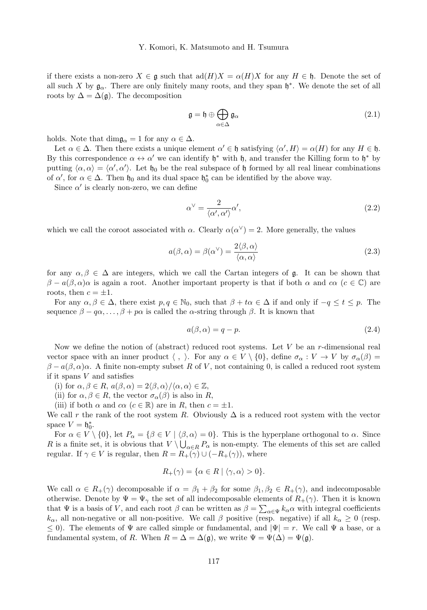if there exists a non-zero  $X \in \mathfrak{g}$  such that  $\text{ad}(H)X = \alpha(H)X$  for any  $H \in \mathfrak{h}$ . Denote the set of all such X by  $\mathfrak{g}_{\alpha}$ . There are only finitely many roots, and they span  $\mathfrak{h}^*$ . We denote the set of all roots by  $\Delta = \Delta(\mathfrak{g})$ . The decomposition

$$
\mathfrak{g} = \mathfrak{h} \oplus \bigoplus_{\alpha \in \Delta} \mathfrak{g}_{\alpha} \tag{2.1}
$$

holds. Note that  $\dim \mathfrak{g}_{\alpha} = 1$  for any  $\alpha \in \Delta$ .

Let  $\alpha \in \Delta$ . Then there exists a unique element  $\alpha' \in \mathfrak{h}$  satisfying  $\langle \alpha', H \rangle = \alpha(H)$  for any  $H \in \mathfrak{h}$ . By this correspondence  $\alpha \leftrightarrow \alpha'$  we can identify  $\mathfrak{h}^*$  with  $\mathfrak{h}$ , and transfer the Killing form to  $\mathfrak{h}^*$  by putting  $\langle \alpha, \alpha \rangle = \langle \alpha', \alpha' \rangle$ . Let  $\mathfrak{h}_0$  be the real subspace of  $\mathfrak{h}$  formed by all real linear combinations of  $\alpha'$ , for  $\alpha \in \Delta$ . Then  $\mathfrak{h}_0$  and its dual space  $\mathfrak{h}_0^*$  can be identified by the above way.

Since  $\alpha'$  is clearly non-zero, we can define

$$
\alpha^{\vee} = \frac{2}{\langle \alpha', \alpha' \rangle} \alpha',\tag{2.2}
$$

which we call the coroot associated with  $\alpha$ . Clearly  $\alpha(\alpha^{\vee}) = 2$ . More generally, the values

$$
a(\beta, \alpha) = \beta(\alpha^{\vee}) = \frac{2\langle \beta, \alpha \rangle}{\langle \alpha, \alpha \rangle}
$$
 (2.3)

for any  $\alpha, \beta \in \Delta$  are integers, which we call the Cartan integers of g. It can be shown that  $\beta - a(\beta, \alpha)\alpha$  is again a root. Another important property is that if both  $\alpha$  and  $c\alpha$  ( $c \in \mathbb{C}$ ) are roots, then  $c = \pm 1$ .

For any  $\alpha, \beta \in \Delta$ , there exist  $p, q \in \mathbb{N}_0$ , such that  $\beta + t\alpha \in \Delta$  if and only if  $-q \leq t \leq p$ . The sequence  $\beta - q\alpha, \ldots, \beta + p\alpha$  is called the  $\alpha$ -string through  $\beta$ . It is known that

$$
a(\beta, \alpha) = q - p. \tag{2.4}
$$

Now we define the notion of (abstract) reduced root systems. Let  $V$  be an r-dimensional real vector space with an inner product  $\langle , \rangle$ . For any  $\alpha \in V \setminus \{0\}$ , define  $\sigma_\alpha : V \to V$  by  $\sigma_\alpha(\beta) =$  $\beta - a(\beta, \alpha)\alpha$ . A finite non-empty subset R of V, not containing 0, is called a reduced root system if it spans V and satisfies

(i) for  $\alpha, \beta \in R$ ,  $a(\beta, \alpha) = 2\langle \beta, \alpha \rangle / \langle \alpha, \alpha \rangle \in \mathbb{Z}$ ,

(ii) for  $\alpha, \beta \in R$ , the vector  $\sigma_{\alpha}(\beta)$  is also in R,

(iii) if both  $\alpha$  and  $c\alpha$  ( $c \in \mathbb{R}$ ) are in R, then  $c = \pm 1$ .

We call r the rank of the root system R. Obviously  $\Delta$  is a reduced root system with the vector space  $V = \mathfrak{h}_0^*$ .

For  $\alpha \in V \setminus \{0\}$ , let  $P_{\alpha} = \{\beta \in V \mid \langle \beta, \alpha \rangle = 0\}$ . This is the hyperplane orthogonal to  $\alpha$ . Since R is a finite set, it is obvious that  $V \setminus \bigcup_{\alpha \in R} P_{\alpha}$  is non-empty. The elements of this set are called regular. If  $\gamma \in V$  is regular, then  $R = R_+(\gamma) \cup (-R_+(\gamma))$ , where

$$
R_+(\gamma) = \{ \alpha \in R \mid \langle \gamma, \alpha \rangle > 0 \}.
$$

We call  $\alpha \in R_+(\gamma)$  decomposable if  $\alpha = \beta_1 + \beta_2$  for some  $\beta_1, \beta_2 \in R_+(\gamma)$ , and indecomposable otherwise. Denote by  $\Psi = \Psi_{\gamma}$  the set of all indecomposable elements of  $R_{+}(\gamma)$ . Then it is known that  $\Psi$  is a basis of V, and each root  $\beta$  can be written as  $\beta = \sum_{\alpha \in \Psi} k_{\alpha} \alpha$  with integral coefficients  $k_{\alpha}$ , all non-negative or all non-positive. We call  $\beta$  positive (resp. negative) if all  $k_{\alpha} \geq 0$  (resp.  $\leq$  0). The elements of  $\Psi$  are called simple or fundamental, and  $|\Psi| = r$ . We call  $\Psi$  a base, or a fundamental system, of R. When  $R = \Delta = \Delta(\mathfrak{g})$ , we write  $\Psi = \Psi(\Delta) = \Psi(\mathfrak{g})$ .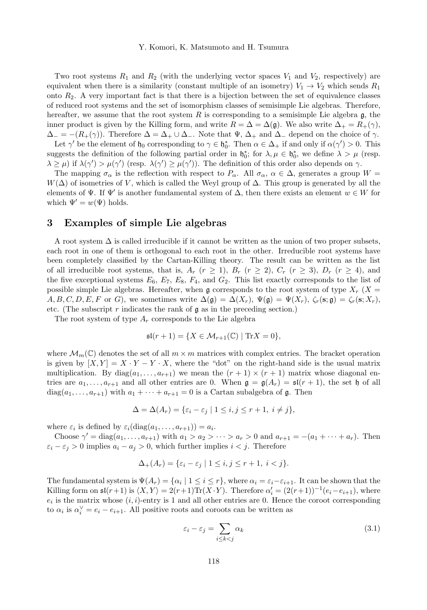Two root systems  $R_1$  and  $R_2$  (with the underlying vector spaces  $V_1$  and  $V_2$ , respectively) are equivalent when there is a similarity (constant multiple of an isometry)  $V_1 \rightarrow V_2$  which sends  $R_1$ onto  $R_2$ . A very important fact is that there is a bijection between the set of equivalence classes of reduced root systems and the set of isomorphism classes of semisimple Lie algebras. Therefore, hereafter, we assume that the root system  $R$  is corresponding to a semisimple Lie algebra  $\mathfrak{g}$ , the inner product is given by the Killing form, and write  $R = \Delta = \Delta(\mathfrak{g})$ . We also write  $\Delta_{+} = R_{+}(\gamma)$ ,  $\Delta_-=-(R_+(\gamma))$ . Therefore  $\Delta=\Delta_+\cup\Delta_-\$ . Note that  $\Psi$ ,  $\Delta_+$  and  $\Delta_-\$  depend on the choice of  $\gamma$ .

Let  $\gamma'$  be the element of  $\mathfrak{h}_0$  corresponding to  $\gamma \in \mathfrak{h}_0^*$ . Then  $\alpha \in \Delta_+$  if and only if  $\alpha(\gamma') > 0$ . This suggests the definition of the following partial order in  $\mathfrak{h}_0^*$ ; for  $\lambda, \mu \in \mathfrak{h}_0^*$ , we define  $\lambda > \mu$  (resp.  $\lambda \ge \mu$ ) if  $\lambda(\gamma') > \mu(\gamma')$  (resp.  $\lambda(\gamma') \ge \mu(\gamma')$ ). The definition of this order also depends on  $\gamma$ .

The mapping  $\sigma_{\alpha}$  is the reflection with respect to  $P_{\alpha}$ . All  $\sigma_{\alpha}$ ,  $\alpha \in \Delta$ , generates a group  $W =$  $W(\Delta)$  of isometries of V, which is called the Weyl group of  $\Delta$ . This group is generated by all the elements of  $\Psi$ . If  $\Psi'$  is another fundamental system of  $\Delta$ , then there exists an element  $w \in W$  for which  $\Psi' = w(\Psi)$  holds.

## 3 Examples of simple Lie algebras

A root system  $\Delta$  is called irreducible if it cannot be written as the union of two proper subsets, each root in one of them is orthogonal to each root in the other. Irreducible root systems have been completely classified by the Cartan-Killing theory. The result can be written as the list of all irreducible root systems, that is,  $A_r$   $(r \ge 1)$ ,  $B_r$   $(r \ge 2)$ ,  $C_r$   $(r \ge 3)$ ,  $D_r$   $(r \ge 4)$ , and the five exceptional systems  $E_6$ ,  $E_7$ ,  $E_8$ ,  $F_4$ , and  $G_2$ . This list exactly corresponds to the list of possible simple Lie algebras. Hereafter, when g corresponds to the root system of type  $X_r$  (X =  $A, B, C, D, E, F$  or G), we sometimes write  $\Delta(\mathfrak{g}) = \Delta(X_r)$ ,  $\Psi(\mathfrak{g}) = \Psi(X_r)$ ,  $\zeta_r(\mathbf{s}; \mathfrak{g}) = \zeta_r(\mathbf{s}; X_r)$ , etc. (The subscript r indicates the rank of  $\mathfrak g$  as in the preceding section.)

The root system of type  $A_r$  corresponds to the Lie algebra

$$
\mathfrak{sl}(r+1) = \{ X \in \mathcal{M}_{r+1}(\mathbb{C}) \mid \text{Tr} X = 0 \},
$$

where  $\mathcal{M}_m(\mathbb{C})$  denotes the set of all  $m \times m$  matrices with complex entries. The bracket operation is given by  $[X, Y] = X \cdot Y - Y \cdot X$ , where the "dot" on the right-hand side is the usual matrix multiplication. By  $diag(a_1, \ldots, a_{r+1})$  we mean the  $(r+1) \times (r+1)$  matrix whose diagonal entries are  $a_1, \ldots, a_{r+1}$  and all other entries are 0. When  $\mathfrak{g} = \mathfrak{g}(A_r) = \mathfrak{sl}(r+1)$ , the set h of all  $diag(a_1, \ldots, a_{r+1})$  with  $a_1 + \cdots + a_{r+1} = 0$  is a Cartan subalgebra of  $\mathfrak{g}$ . Then

$$
\Delta = \Delta(A_r) = \{ \varepsilon_i - \varepsilon_j \mid 1 \le i, j \le r+1, i \ne j \},\
$$

where  $\varepsilon_i$  is defined by  $\varepsilon_i(\text{diag}(a_1,\ldots,a_{r+1}))=a_i.$ 

Choose  $\gamma' = \text{diag}(a_1, ..., a_{r+1})$  with  $a_1 > a_2 > ... > a_r > 0$  and  $a_{r+1} = -(a_1 + ... + a_r)$ . Then  $\varepsilon_i - \varepsilon_j > 0$  implies  $a_i - a_j > 0$ , which further implies  $i < j$ . Therefore

$$
\Delta_+(A_r) = \{ \varepsilon_i - \varepsilon_j \mid 1 \le i, j \le r+1, i < j \}.
$$

The fundamental system is  $\Psi(A_r) = \{ \alpha_i \mid 1 \le i \le r \}$ , where  $\alpha_i = \varepsilon_i - \varepsilon_{i+1}$ . It can be shown that the Killing form on  $\mathfrak{sl}(r+1)$  is  $\langle X, Y \rangle = 2(r+1)\text{Tr}(X \cdot Y)$ . Therefore  $\alpha'_i = (2(r+1))^{-1}(e_i - e_{i+1})$ , where  $e_i$  is the matrix whose  $(i, i)$ -entry is 1 and all other entries are 0. Hence the coroot corresponding to  $\alpha_i$  is  $\alpha_i^{\vee} = e_i - e_{i+1}$ . All positive roots and coroots can be written as

$$
\varepsilon_i - \varepsilon_j = \sum_{i \le k < j} \alpha_k \tag{3.1}
$$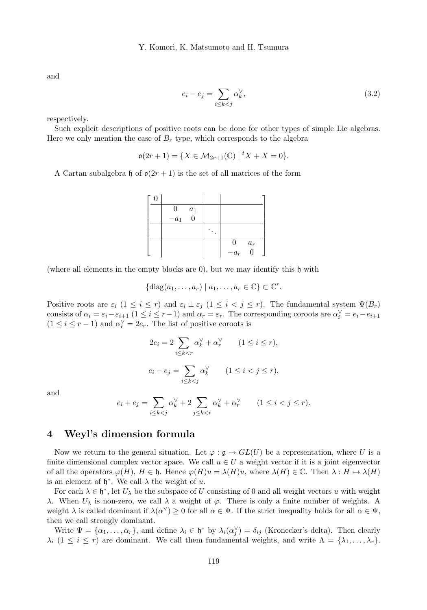and

$$
e_i - e_j = \sum_{i \le k < j} \alpha_k^\vee,\tag{3.2}
$$

respectively.

Such explicit descriptions of positive roots can be done for other types of simple Lie algebras. Here we only mention the case of  $B_r$  type, which corresponds to the algebra

$$
\mathfrak{o}(2r+1) = \{ X \in \mathcal{M}_{2r+1}(\mathbb{C}) \mid {}^t X + X = 0 \}.
$$

A Cartan subalgebra h of  $\mathfrak{o}(2r+1)$  is the set of all matrices of the form

|  | $\theta$ | $\boldsymbol{a}_1$ |                |       |
|--|----------|--------------------|----------------|-------|
|  | $-a_1\,$ | $\theta$           |                |       |
|  |          |                    |                |       |
|  |          |                    | $\overline{0}$ | $a_r$ |
|  |          |                    | $-a_r$         |       |

(where all elements in the empty blocks are  $0$ ), but we may identify this  $\mathfrak h$  with

$$
\{\mathrm{diag}(a_1,\ldots,a_r) \mid a_1,\ldots,a_r \in \mathbb{C}\} \subset \mathbb{C}^r.
$$

Positive roots are  $\varepsilon_i$   $(1 \leq i \leq r)$  and  $\varepsilon_i \pm \varepsilon_j$   $(1 \leq i \leq j \leq r)$ . The fundamental system  $\Psi(B_r)$ consists of  $\alpha_i = \varepsilon_i - \varepsilon_{i+1}$   $(1 \le i \le r-1)$  and  $\alpha_r = \varepsilon_r$ . The corresponding coroots are  $\alpha_i^{\vee} = e_i - e_{i+1}$  $(1 \leq i \leq r-1)$  and  $\alpha_r^{\vee} = 2e_r$ . The list of positive coroots is

$$
2e_i = 2 \sum_{i \le k < r} \alpha_k^{\vee} + \alpha_r^{\vee} \qquad (1 \le i \le r),
$$
\n
$$
e_i - e_j = \sum_{i \le k < j} \alpha_k^{\vee} \qquad (1 \le i < j \le r),
$$

and

$$
e_i + e_j = \sum_{i \le k < j} \alpha_k^{\vee} + 2 \sum_{j \le k < r} \alpha_k^{\vee} + \alpha_r^{\vee} \qquad (1 \le i < j \le r).
$$

## 4 Weyl's dimension formula

Now we return to the general situation. Let  $\varphi : \mathfrak{g} \to GL(U)$  be a representation, where U is a finite dimensional complex vector space. We call  $u \in U$  a weight vector if it is a joint eigenvector of all the operators  $\varphi(H), H \in \mathfrak{h}$ . Hence  $\varphi(H)u = \lambda(H)u$ , where  $\lambda(H) \in \mathbb{C}$ . Then  $\lambda : H \mapsto \lambda(H)$ is an element of  $\mathfrak{h}^*$ . We call  $\lambda$  the weight of u.

For each  $\lambda \in \mathfrak{h}^*$ , let  $U_{\lambda}$  be the subspace of U consisting of 0 and all weight vectors u with weight λ. When  $U_\lambda$  is non-zero, we call  $\lambda$  a weight of  $\varphi$ . There is only a finite number of weights. A weight  $\lambda$  is called dominant if  $\lambda(\alpha^{\vee}) \ge 0$  for all  $\alpha \in \Psi$ . If the strict inequality holds for all  $\alpha \in \Psi$ , then we call strongly dominant.

Write  $\Psi = {\alpha_1, ..., \alpha_r}$ , and define  $\lambda_i \in \mathfrak{h}^*$  by  $\lambda_i(\alpha_j^{\vee}) = \delta_{ij}$  (Kronecker's delta). Then clearly  $\lambda_i$  (1  $\leq i \leq r$ ) are dominant. We call them fundamental weights, and write  $\Lambda = {\lambda_1, \ldots, \lambda_r}$ .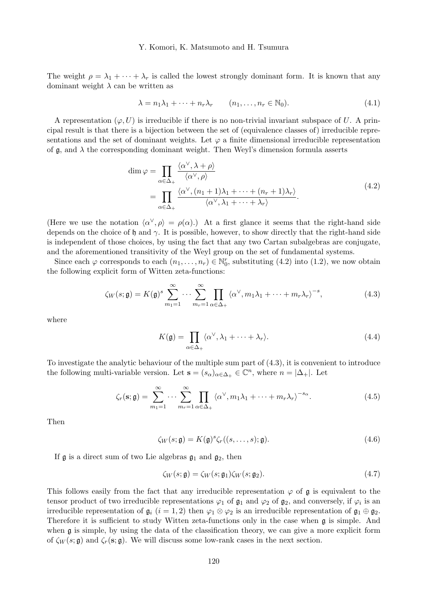The weight  $\rho = \lambda_1 + \cdots + \lambda_r$  is called the lowest strongly dominant form. It is known that any dominant weight  $\lambda$  can be written as

$$
\lambda = n_1 \lambda_1 + \dots + n_r \lambda_r \qquad (n_1, \dots, n_r \in \mathbb{N}_0). \tag{4.1}
$$

A representation  $(\varphi, U)$  is irreducible if there is no non-trivial invariant subspace of U. A principal result is that there is a bijection between the set of (equivalence classes of) irreducible representations and the set of dominant weights. Let  $\varphi$  a finite dimensional irreducible representation of  $\mathfrak{g}$ , and  $\lambda$  the corresponding dominant weight. Then Weyl's dimension formula asserts

$$
\dim \varphi = \prod_{\alpha \in \Delta_+} \frac{\langle \alpha^{\vee}, \lambda + \rho \rangle}{\langle \alpha^{\vee}, \rho \rangle} \n= \prod_{\alpha \in \Delta_+} \frac{\langle \alpha^{\vee}, (n_1 + 1)\lambda_1 + \dots + (n_r + 1)\lambda_r \rangle}{\langle \alpha^{\vee}, \lambda_1 + \dots + \lambda_r \rangle}.
$$
\n(4.2)

(Here we use the notation  $\langle \alpha^{\vee}, \rho \rangle = \rho(\alpha)$ .) At a first glance it seems that the right-hand side depends on the choice of h and  $\gamma$ . It is possible, however, to show directly that the right-hand side is independent of those choices, by using the fact that any two Cartan subalgebras are conjugate, and the aforementioned transitivity of the Weyl group on the set of fundamental systems.

Since each  $\varphi$  corresponds to each  $(n_1, \ldots, n_r) \in \mathbb{N}_0^r$ , substituting (4.2) into (1.2), we now obtain the following explicit form of Witten zeta-functions:

$$
\zeta_W(s; \mathfrak{g}) = K(\mathfrak{g})^s \sum_{m_1=1}^{\infty} \cdots \sum_{m_r=1}^{\infty} \prod_{\alpha \in \Delta_+} \langle \alpha^{\vee}, m_1 \lambda_1 + \cdots + m_r \lambda_r \rangle^{-s}, \tag{4.3}
$$

where

$$
K(\mathfrak{g}) = \prod_{\alpha \in \Delta_+} \langle \alpha^{\vee}, \lambda_1 + \dots + \lambda_r \rangle.
$$
 (4.4)

To investigate the analytic behaviour of the multiple sum part of (4.3), it is convenient to introduce the following multi-variable version. Let  $\mathbf{s} = (s_{\alpha})_{\alpha \in \Delta_+} \in \mathbb{C}^n$ , where  $n = |\Delta_+|$ . Let

$$
\zeta_r(\mathbf{s}; \mathfrak{g}) = \sum_{m_1=1}^{\infty} \cdots \sum_{m_r=1}^{\infty} \prod_{\alpha \in \Delta_+} \langle \alpha^{\vee}, m_1 \lambda_1 + \cdots + m_r \lambda_r \rangle^{-s_{\alpha}}.
$$
\n(4.5)

Then

$$
\zeta_W(s; \mathfrak{g}) = K(\mathfrak{g})^s \zeta_r((s, \dots, s); \mathfrak{g}). \tag{4.6}
$$

If  $\mathfrak g$  is a direct sum of two Lie algebras  $\mathfrak g_1$  and  $\mathfrak g_2$ , then

$$
\zeta_W(s; \mathfrak{g}) = \zeta_W(s; \mathfrak{g}_1)\zeta_W(s; \mathfrak{g}_2). \tag{4.7}
$$

This follows easily from the fact that any irreducible representation  $\varphi$  of  $\mathfrak g$  is equivalent to the tensor product of two irreducible representations  $\varphi_1$  of  $\mathfrak{g}_1$  and  $\varphi_2$  of  $\mathfrak{g}_2$ , and conversely, if  $\varphi_i$  is an irreducible representation of  $\mathfrak{g}_i$   $(i = 1, 2)$  then  $\varphi_1 \otimes \varphi_2$  is an irreducible representation of  $\mathfrak{g}_1 \oplus \mathfrak{g}_2$ . Therefore it is sufficient to study Witten zeta-functions only in the case when  $\mathfrak g$  is simple. And when g is simple, by using the data of the classification theory, we can give a more explicit form of  $\zeta_W(s; \mathfrak{g})$  and  $\zeta_r(s; \mathfrak{g})$ . We will discuss some low-rank cases in the next section.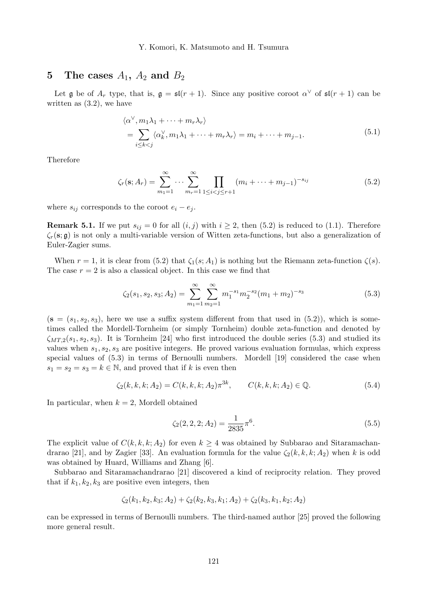# 5 The cases  $A_1$ ,  $A_2$  and  $B_2$

Let **g** be of  $A_r$  type, that is,  $\mathfrak{g} = \mathfrak{sl}(r+1)$ . Since any positive coroot  $\alpha^{\vee}$  of  $\mathfrak{sl}(r+1)$  can be written as  $(3.2)$ , we have

$$
\langle \alpha^{\vee}, m_1 \lambda_1 + \dots + m_r \lambda_r \rangle
$$
  
= 
$$
\sum_{i \le k < j} \langle \alpha_k^{\vee}, m_1 \lambda_1 + \dots + m_r \lambda_r \rangle = m_i + \dots + m_{j-1}.
$$
 (5.1)

Therefore

$$
\zeta_r(\mathbf{s}; A_r) = \sum_{m_1=1}^{\infty} \cdots \sum_{m_r=1}^{\infty} \prod_{1 \le i < j \le r+1} (m_i + \cdots + m_{j-1})^{-s_{ij}} \tag{5.2}
$$

where  $s_{ij}$  corresponds to the coroot  $e_i - e_j$ .

**Remark 5.1.** If we put  $s_{ij} = 0$  for all  $(i, j)$  with  $i \geq 2$ , then (5.2) is reduced to (1.1). Therefore  $\zeta_r(\mathbf{s}; \mathfrak{g})$  is not only a multi-variable version of Witten zeta-functions, but also a generalization of Euler-Zagier sums.

When  $r = 1$ , it is clear from (5.2) that  $\zeta_1(s; A_1)$  is nothing but the Riemann zeta-function  $\zeta(s)$ . The case  $r = 2$  is also a classical object. In this case we find that

$$
\zeta_2(s_1, s_2, s_3; A_2) = \sum_{m_1=1}^{\infty} \sum_{m_2=1}^{\infty} m_1^{-s_1} m_2^{-s_2} (m_1 + m_2)^{-s_3}
$$
\n(5.3)

 $(s = (s_1, s_2, s_3)$ , here we use a suffix system different from that used in  $(5.2)$ , which is sometimes called the Mordell-Tornheim (or simply Tornheim) double zeta-function and denoted by  $\zeta_{MT,2}(s_1, s_2, s_3)$ . It is Tornheim [24] who first introduced the double series (5.3) and studied its values when  $s_1, s_2, s_3$  are positive integers. He proved various evaluation formulas, which express special values of (5.3) in terms of Bernoulli numbers. Mordell [19] considered the case when  $s_1 = s_2 = s_3 = k \in \mathbb{N}$ , and proved that if k is even then

$$
\zeta_2(k, k, k; A_2) = C(k, k, k; A_2) \pi^{3k}, \qquad C(k, k, k; A_2) \in \mathbb{Q}.
$$
\n(5.4)

In particular, when  $k = 2$ , Mordell obtained

$$
\zeta_2(2,2,2;A_2) = \frac{1}{2835}\pi^6.
$$
\n(5.5)

The explicit value of  $C(k, k, k; A_2)$  for even  $k \geq 4$  was obtained by Subbarao and Sitaramachandrarao [21], and by Zagier [33]. An evaluation formula for the value  $\zeta_2(k, k, k; A_2)$  when k is odd was obtained by Huard, Williams and Zhang [6].

Subbarao and Sitaramachandrarao [21] discovered a kind of reciprocity relation. They proved that if  $k_1, k_2, k_3$  are positive even integers, then

$$
\zeta_2(k_1,k_2,k_3;A_2) + \zeta_2(k_2,k_3,k_1;A_2) + \zeta_2(k_3,k_1,k_2;A_2)
$$

can be expressed in terms of Bernoulli numbers. The third-named author [25] proved the following more general result.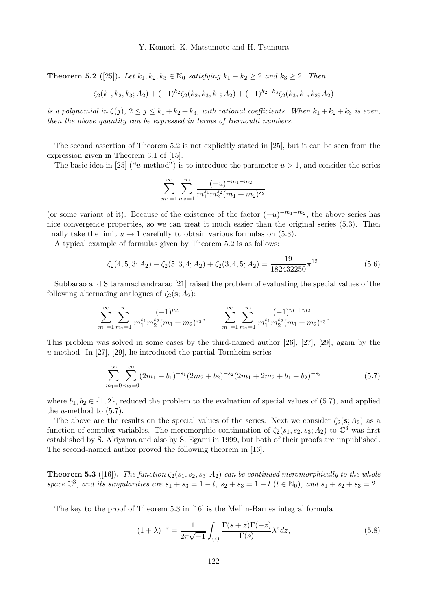**Theorem 5.2** ([25]). Let  $k_1, k_2, k_3 \in \mathbb{N}_0$  satisfying  $k_1 + k_2 \geq 2$  and  $k_3 \geq 2$ . Then

$$
\zeta_2(k_1,k_2,k_3;A_2)+(-1)^{k_2}\zeta_2(k_2,k_3,k_1;A_2)+(-1)^{k_2+k_3}\zeta_2(k_3,k_1,k_2;A_2)
$$

is a polynomial in  $\zeta(j)$ ,  $2 \leq j \leq k_1 + k_2 + k_3$ , with rational coefficients. When  $k_1 + k_2 + k_3$  is even, then the above quantity can be expressed in terms of Bernoulli numbers.

The second assertion of Theorem 5.2 is not explicitly stated in [25], but it can be seen from the expression given in Theorem 3.1 of [15].

The basic idea in [25] ("u-method") is to introduce the parameter  $u > 1$ , and consider the series

$$
\sum_{m_1=1}^{\infty} \sum_{m_2=1}^{\infty} \frac{(-u)^{-m_1-m_2}}{m_1^{s_1} m_2^{s_2} (m_1+m_2)^{s_3}}
$$

(or some variant of it). Because of the existence of the factor  $(-u)^{-m_1-m_2}$ , the above series has nice convergence properties, so we can treat it much easier than the original series (5.3). Then finally take the limit  $u \to 1$  carefully to obtain various formulas on (5.3).

A typical example of formulas given by Theorem 5.2 is as follows:

$$
\zeta_2(4,5,3;A_2) - \zeta_2(5,3,4;A_2) + \zeta_2(3,4,5;A_2) = \frac{19}{182432250} \pi^{12}.
$$
\n(5.6)

.

Subbarao and Sitaramachandrarao [21] raised the problem of evaluating the special values of the following alternating analogues of  $\zeta_2(\mathbf{s}; A_2)$ :

$$
\sum_{m_1=1}^{\infty} \sum_{m_2=1}^{\infty} \frac{(-1)^{m_2}}{m_1^{s_1} m_2^{s_2} (m_1+m_2)^{s_3}}, \qquad \sum_{m_1=1}^{\infty} \sum_{m_2=1}^{\infty} \frac{(-1)^{m_1+m_2}}{m_1^{s_1} m_2^{s_2} (m_1+m_2)^{s_3}}
$$

This problem was solved in some cases by the third-named author [26], [27], [29], again by the  $u$ -method. In [27], [29], he introduced the partial Tornheim series

$$
\sum_{m_1=0}^{\infty} \sum_{m_2=0}^{\infty} (2m_1 + b_1)^{-s_1} (2m_2 + b_2)^{-s_2} (2m_1 + 2m_2 + b_1 + b_2)^{-s_3}
$$
(5.7)

where  $b_1, b_2 \in \{1, 2\}$ , reduced the problem to the evaluation of special values of (5.7), and applied the *u*-method to  $(5.7)$ .

The above are the results on the special values of the series. Next we consider  $\zeta_2(s; A_2)$  as a function of complex variables. The meromorphic continuation of  $\zeta_2(s_1, s_2, s_3; A_2)$  to  $\mathbb{C}^3$  was first established by S. Akiyama and also by S. Egami in 1999, but both of their proofs are unpublished. The second-named author proved the following theorem in [16].

**Theorem 5.3** ([16]). The function  $\zeta_2(s_1, s_2, s_3; A_2)$  can be continued meromorphically to the whole space  $\mathbb{C}^3$ , and its singularities are  $s_1 + s_3 = 1 - l$ ,  $s_2 + s_3 = 1 - l$   $(l \in \mathbb{N}_0)$ , and  $s_1 + s_2 + s_3 = 2$ .

The key to the proof of Theorem 5.3 in [16] is the Mellin-Barnes integral formula

$$
(1+\lambda)^{-s} = \frac{1}{2\pi\sqrt{-1}} \int_{(c)} \frac{\Gamma(s+z)\Gamma(-z)}{\Gamma(s)} \lambda^z dz,
$$
\n(5.8)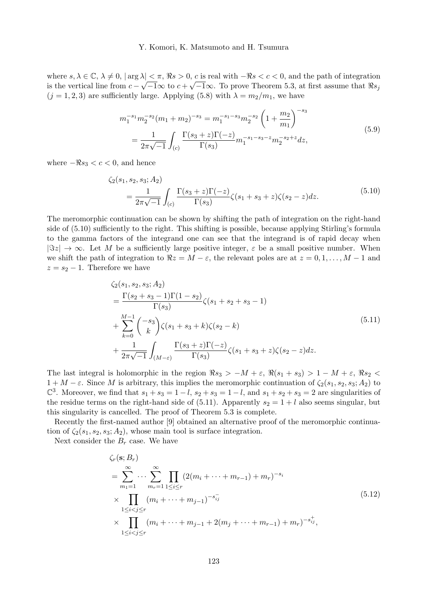where  $s, \lambda \in \mathbb{C}, \lambda \neq 0, |\arg \lambda| < \pi$ ,  $\Re s > 0$ , c is real with  $-\Re s < c < 0$ , and the path of integration is the vertical line from  $c - \sqrt{-1}\infty$  to  $c + \sqrt{-1}\infty$ . To prove Theorem 5.3, at first assume that  $\Re s_j$  $(j = 1, 2, 3)$  are sufficiently large. Applying (5.8) with  $\lambda = m_2/m_1$ , we have

$$
m_1^{-s_1} m_2^{-s_2} (m_1 + m_2)^{-s_3} = m_1^{-s_1 - s_3} m_2^{-s_2} \left( 1 + \frac{m_2}{m_1} \right)^{-s_3}
$$
  
= 
$$
\frac{1}{2\pi\sqrt{-1}} \int_{(c)} \frac{\Gamma(s_3 + z)\Gamma(-z)}{\Gamma(s_3)} m_1^{-s_1 - s_3 - z} m_2^{-s_2 + z} dz,
$$
 (5.9)

where  $-\Re s_3 < c < 0$ , and hence

$$
\zeta_2(s_1, s_2, s_3; A_2) = \frac{1}{2\pi\sqrt{-1}} \int_{(c)} \frac{\Gamma(s_3 + z)\Gamma(-z)}{\Gamma(s_3)} \zeta(s_1 + s_3 + z)\zeta(s_2 - z)dz.
$$
\n(5.10)

The meromorphic continuation can be shown by shifting the path of integration on the right-hand side of (5.10) sufficiently to the right. This shifting is possible, because applying Stirling's formula to the gamma factors of the integrand one can see that the integrand is of rapid decay when  $|\Im z| \to \infty$ . Let M be a sufficiently large positive integer,  $\varepsilon$  be a small positive number. When we shift the path of integration to  $\Re z = M - \varepsilon$ , the relevant poles are at  $z = 0, 1, \ldots, M - 1$  and  $z = s_2 - 1$ . Therefore we have

$$
\begin{split} &\zeta_2(s_1, s_2, s_3; A_2) \\ &= \frac{\Gamma(s_2 + s_3 - 1)\Gamma(1 - s_2)}{\Gamma(s_3)} \zeta(s_1 + s_2 + s_3 - 1) \\ &+ \sum_{k=0}^{M-1} \binom{-s_3}{k} \zeta(s_1 + s_3 + k) \zeta(s_2 - k) \\ &+ \frac{1}{2\pi\sqrt{-1}} \int_{(M-\varepsilon)} \frac{\Gamma(s_3 + z)\Gamma(-z)}{\Gamma(s_3)} \zeta(s_1 + s_3 + z) \zeta(s_2 - z) dz. \end{split} \tag{5.11}
$$

The last integral is holomorphic in the region  $\Re s_3 > -M + \varepsilon$ ,  $\Re(s_1 + s_3) > 1 - M + \varepsilon$ ,  $\Re s_2$  $1 + M - \varepsilon$ . Since M is arbitrary, this implies the meromorphic continuation of  $\zeta_2(s_1, s_2, s_3; A_2)$  to  $\mathbb{C}^3$ . Moreover, we find that  $s_1 + s_3 = 1 - l$ ,  $s_2 + s_3 = 1 - l$ , and  $s_1 + s_2 + s_3 = 2$  are singularities of the residue terms on the right-hand side of (5.11). Apparently  $s_2 = 1 + l$  also seems singular, but this singularity is cancelled. The proof of Theorem 5.3 is complete.

Recently the first-named author [9] obtained an alternative proof of the meromorphic continuation of  $\zeta_2(s_1, s_2, s_3; A_2)$ , whose main tool is surface integration.

Next consider the  $B_r$  case. We have

$$
\zeta_r(\mathbf{s}; B_r)
$$
\n
$$
= \sum_{m_1=1}^{\infty} \cdots \sum_{m_r=1}^{\infty} \prod_{1 \le i \le r} (2(m_i + \cdots + m_{r-1}) + m_r)^{-s_i}
$$
\n
$$
\times \prod_{1 \le i < j \le r} (m_i + \cdots + m_{j-1})^{-s_{ij}} \tag{5.12}
$$
\n
$$
\times \prod_{1 \le i < j \le r} (m_i + \cdots + m_{j-1} + 2(m_j + \cdots + m_{r-1}) + m_r)^{-s_{ij}^+},
$$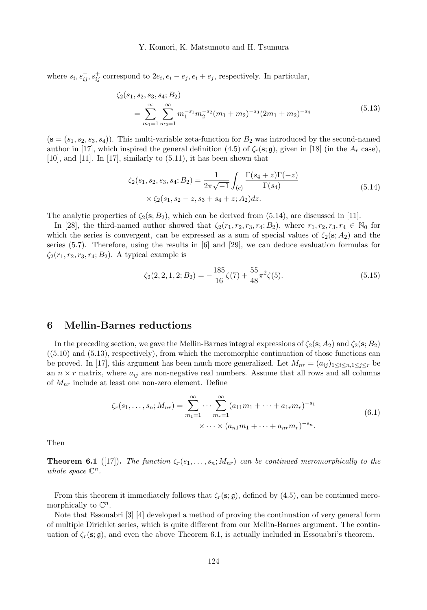where  $s_i, s_{ij}^-, s_{ij}^+$  correspond to  $2e_i, e_i - e_j, e_i + e_j$ , respectively. In particular,

$$
\zeta_2(s_1, s_2, s_3, s_4; B_2)
$$
  
= 
$$
\sum_{m_1=1}^{\infty} \sum_{m_2=1}^{\infty} m_1^{-s_1} m_2^{-s_2} (m_1 + m_2)^{-s_3} (2m_1 + m_2)^{-s_4}
$$
 (5.13)

 $(s = (s_1, s_2, s_3, s_4))$ . This multi-variable zeta-function for  $B_2$  was introduced by the second-named author in [17], which inspired the general definition (4.5) of  $\zeta_r(\mathbf{s}; \mathbf{g})$ , given in [18] (in the  $A_r$  case),  $[10]$ , and  $[11]$ . In  $[17]$ , similarly to  $(5.11)$ , it has been shown that

$$
\zeta_2(s_1, s_2, s_3, s_4; B_2) = \frac{1}{2\pi\sqrt{-1}} \int_{(c)} \frac{\Gamma(s_4 + z)\Gamma(-z)}{\Gamma(s_4)} \times \zeta_2(s_1, s_2 - z, s_3 + s_4 + z; A_2)dz.
$$
\n(5.14)

The analytic properties of  $\zeta_2(\mathbf{s};B_2)$ , which can be derived from (5.14), are discussed in [11].

In [28], the third-named author showed that  $\zeta_2(r_1, r_2, r_3, r_4; B_2)$ , where  $r_1, r_2, r_3, r_4 \in \mathbb{N}_0$  for which the series is convergent, can be expressed as a sum of special values of  $\zeta_2(s; A_2)$  and the series  $(5.7)$ . Therefore, using the results in  $[6]$  and  $[29]$ , we can deduce evaluation formulas for  $\zeta_2(r_1, r_2, r_3, r_4; B_2)$ . A typical example is

$$
\zeta_2(2,2,1,2;B_2) = -\frac{185}{16}\zeta(7) + \frac{55}{48}\pi^2\zeta(5). \tag{5.15}
$$

## 6 Mellin-Barnes reductions

In the preceding section, we gave the Mellin-Barnes integral expressions of  $\zeta_2(s; A_2)$  and  $\zeta_2(s; B_2)$  $((5.10)$  and  $(5.13)$ , respectively), from which the meromorphic continuation of those functions can be proved. In [17], this argument has been much more generalized. Let  $M_{nr} = (a_{ij})_{1 \le i \le n, 1 \le j \le r}$  be an  $n \times r$  matrix, where  $a_{ij}$  are non-negative real numbers. Assume that all rows and all columns of  $M_{nr}$  include at least one non-zero element. Define

$$
\zeta_r(s_1,\ldots,s_n;M_{nr}) = \sum_{m_1=1}^{\infty} \cdots \sum_{m_r=1}^{\infty} (a_{11}m_1 + \cdots + a_{1r}m_r)^{-s_1}
$$
  
 
$$
\times \cdots \times (a_{n1}m_1 + \cdots + a_{nr}m_r)^{-s_n}.
$$
 (6.1)

Then

**Theorem 6.1** ([17]). The function  $\zeta_r(s_1,\ldots,s_n;M_{nr})$  can be continued meromorphically to the whole space  $\mathbb{C}^n$ .

From this theorem it immediately follows that  $\zeta_r(\mathbf{s}; \mathfrak{g})$ , defined by (4.5), can be continued meromorphically to  $\mathbb{C}^n$ .

Note that Essouabri [3] [4] developed a method of proving the continuation of very general form of multiple Dirichlet series, which is quite different from our Mellin-Barnes argument. The continuation of  $\zeta_r(\mathbf{s}; \mathfrak{g})$ , and even the above Theorem 6.1, is actually included in Essouabri's theorem.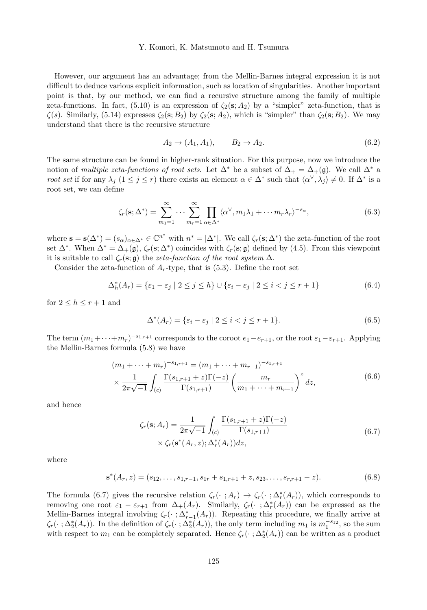However, our argument has an advantage; from the Mellin-Barnes integral expression it is not difficult to deduce various explicit information, such as location of singularities. Another important point is that, by our method, we can find a recursive structure among the family of multiple zeta-functions. In fact,  $(5.10)$  is an expression of  $\zeta_2(\mathbf{s}; A_2)$  by a "simpler" zeta-function, that is  $\zeta(s)$ . Similarly, (5.14) expresses  $\zeta_2(s; B_2)$  by  $\zeta_2(s; A_2)$ , which is "simpler" than  $\zeta_2(s; B_2)$ . We may understand that there is the recursive structure

$$
A_2 \to (A_1, A_1), \qquad B_2 \to A_2. \tag{6.2}
$$

The same structure can be found in higher-rank situation. For this purpose, now we introduce the notion of multiple zeta-functions of root sets. Let  $\Delta^*$  be a subset of  $\Delta_+ = \Delta_+(\mathfrak{g})$ . We call  $\Delta^*$  a root set if for any  $\lambda_j$   $(1 \le j \le r)$  there exists an element  $\alpha \in \Delta^*$  such that  $\langle \alpha^{\vee}, \lambda_j \rangle \neq 0$ . If  $\Delta^*$  is a root set, we can define

$$
\zeta_r(\mathbf{s}; \Delta^*) = \sum_{m_1=1}^{\infty} \cdots \sum_{m_r=1}^{\infty} \prod_{\alpha \in \Delta^*} \langle \alpha^{\vee}, m_1 \lambda_1 + \cdots + m_r \lambda_r \rangle^{-s_{\alpha}}, \tag{6.3}
$$

where  $\mathbf{s} = \mathbf{s}(\Delta^*) = (s_\alpha)_{\alpha \in \Delta^*} \in \mathbb{C}^{n^*}$  with  $n^* = |\Delta^*|$ . We call  $\zeta_r(\mathbf{s}; \Delta^*)$  the zeta-function of the root set  $\Delta^*$ . When  $\Delta^* = \Delta_+(\mathfrak{g})$ ,  $\zeta_r(\mathbf{s}; \Delta^*)$  coincides with  $\zeta_r(\mathbf{s}; \mathfrak{g})$  defined by (4.5). From this viewpoint it is suitable to call  $\zeta_r(\mathbf{s}; \mathfrak{g})$  the zeta-function of the root system  $\Delta$ .

Consider the zeta-function of  $A_r$ -type, that is (5.3). Define the root set

$$
\Delta_h^*(A_r) = \{ \varepsilon_1 - \varepsilon_j \mid 2 \le j \le h \} \cup \{ \varepsilon_i - \varepsilon_j \mid 2 \le i < j \le r+1 \}
$$
\n
$$
(6.4)
$$

for  $2 \leq h \leq r+1$  and

$$
\Delta^*(A_r) = \{ \varepsilon_i - \varepsilon_j \mid 2 \le i < j \le r+1 \}. \tag{6.5}
$$

The term  $(m_1+\cdots+m_r)^{-s_{1,r+1}}$  corresponds to the coroot  $e_1-e_{r+1}$ , or the root  $\varepsilon_1-\varepsilon_{r+1}$ . Applying the Mellin-Barnes formula (5.8) we have

$$
(m_1 + \dots + m_r)^{-s_1, r+1} = (m_1 + \dots + m_{r-1})^{-s_1, r+1}
$$
  
 
$$
\times \frac{1}{2\pi\sqrt{-1}} \int_{(c)} \frac{\Gamma(s_{1, r+1} + z)\Gamma(-z)}{\Gamma(s_{1, r+1})} \left(\frac{m_r}{m_1 + \dots + m_{r-1}}\right)^z dz,
$$
 (6.6)

and hence

$$
\zeta_r(\mathbf{s}; A_r) = \frac{1}{2\pi\sqrt{-1}} \int_{(c)} \frac{\Gamma(s_{1,r+1} + z)\Gamma(-z)}{\Gamma(s_{1,r+1})} \times \zeta_r(\mathbf{s}^*(A_r, z); \Delta_r^*(A_r))dz,
$$
\n(6.7)

where

$$
\mathbf{s}^*(A_r, z) = (s_{12}, \dots, s_{1,r-1}, s_{1r} + s_{1,r+1} + z, s_{23}, \dots, s_{r,r+1} - z). \tag{6.8}
$$

The formula (6.7) gives the recursive relation  $\zeta_r(\cdot; A_r) \to \zeta_r(\cdot; \Delta_r^*(A_r))$ , which corresponds to removing one root  $\varepsilon_1 - \varepsilon_{r+1}$  from  $\Delta_+(A_r)$ . Similarly,  $\zeta_r(\cdot; \Delta_r^*(A_r))$  can be expressed as the Mellin-Barnes integral involving  $\zeta_r(\cdot;\Delta_{r-1}^*(A_r))$ . Repeating this procedure, we finally arrive at  $\zeta_r(\cdot;\Delta_2^*(A_r))$ . In the definition of  $\zeta_r(\cdot;\Delta_2^*(A_r))$ , the only term including  $m_1$  is  $m_1^{-s_{12}}$ , so the sum with respect to  $m_1$  can be completely separated. Hence  $\zeta_r(\cdot;\Delta_2^*(A_r))$  can be written as a product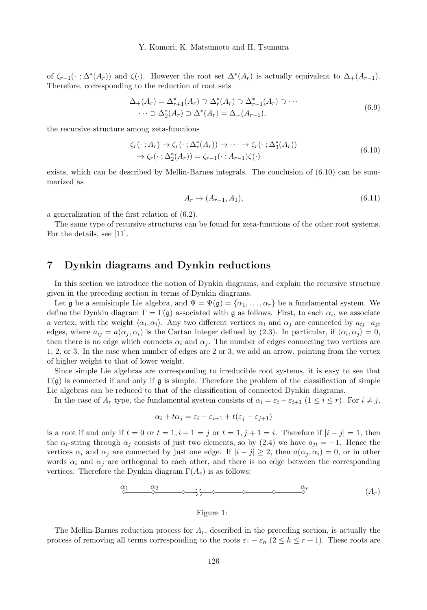of  $\zeta_{r-1}(\cdot; \Delta^*(A_r))$  and  $\zeta(\cdot)$ . However the root set  $\Delta^*(A_r)$  is actually equivalent to  $\Delta_+(A_{r-1})$ . Therefore, corresponding to the reduction of root sets

$$
\Delta_{+}(A_{r}) = \Delta_{r+1}^{*}(A_{r}) \supset \Delta_{r}^{*}(A_{r}) \supset \Delta_{r-1}^{*}(A_{r}) \supset \cdots
$$
  

$$
\cdots \supset \Delta_{2}^{*}(A_{r}) \supset \Delta^{*}(A_{r}) = \Delta_{+}(A_{r-1}),
$$
 (6.9)

the recursive structure among zeta-functions

$$
\zeta_r(\cdot \; ; A_r) \to \zeta_r(\cdot \; ; \Delta_r^*(A_r)) \to \cdots \to \zeta_r(\cdot \; ; \Delta_3^*(A_r)) \to \zeta_r(\cdot \; ; \Delta_2^*(A_r)) = \zeta_{r-1}(\cdot \; ; A_{r-1})\zeta(\cdot)
$$
\n(6.10)

exists, which can be described by Mellin-Barnes integrals. The conclusion of (6.10) can be summarized as

$$
A_r \to (A_{r-1}, A_1), \tag{6.11}
$$

a generalization of the first relation of (6.2).

The same type of recursive structures can be found for zeta-functions of the other root systems. For the details, see [11].

# 7 Dynkin diagrams and Dynkin reductions

In this section we introduce the notion of Dynkin diagrams, and explain the recursive structure given in the preceding section in terms of Dynkin diagrams.

Let  $\frak{g}$  be a semisimple Lie algebra, and  $\Psi = \Psi(\frak{g}) = {\alpha_1, \ldots, \alpha_r}$  be a fundamental system. We define the Dynkin diagram  $\Gamma = \Gamma(\mathfrak{g})$  associated with  $\mathfrak{g}$  as follows. First, to each  $\alpha_i$ , we associate a vertex, with the weight  $\langle \alpha_i, \alpha_i \rangle$ . Any two different vertices  $\alpha_i$  and  $\alpha_j$  are connected by  $a_{ij} \cdot a_{ji}$ edges, where  $a_{ij} = a(\alpha_j, \alpha_i)$  is the Cartan integer defined by (2.3). In particular, if  $\langle \alpha_i, \alpha_j \rangle = 0$ , then there is no edge which connects  $\alpha_i$  and  $\alpha_j$ . The number of edges connecting two vertices are 1, 2, or 3. In the case when number of edges are 2 or 3, we add an arrow, pointing from the vertex of higher weight to that of lower weight.

Since simple Lie algebras are corresponding to irreducible root systems, it is easy to see that  $\Gamma$ (g) is connected if and only if g is simple. Therefore the problem of the classification of simple Lie algebras can be reduced to that of the classification of connected Dynkin diagrams.

In the case of  $A_r$  type, the fundamental system consists of  $\alpha_i = \varepsilon_i - \varepsilon_{i+1}$   $(1 \le i \le r)$ . For  $i \ne j$ ,

$$
\alpha_i + t\alpha_j = \varepsilon_i - \varepsilon_{i+1} + t(\varepsilon_j - \varepsilon_{j+1})
$$

is a root if and only if  $t = 0$  or  $t = 1, i + 1 = j$  or  $t = 1, j + 1 = i$ . Therefore if  $|i - j| = 1$ , then the  $\alpha_i$ -string through  $\alpha_j$  consists of just two elements, so by (2.4) we have  $a_{ji} = -1$ . Hence the vertices  $\alpha_i$  and  $\alpha_j$  are connected by just one edge. If  $|i - j| \geq 2$ , then  $a(\alpha_j, \alpha_i) = 0$ , or in other words  $\alpha_i$  and  $\alpha_j$  are orthogonal to each other, and there is no edge between the corresponding vertices. Therefore the Dynkin diagram  $\Gamma(A_r)$  is as follows:

$$
\underbrace{\alpha_1 \qquad \alpha_2}_{\bigcirc \qquad \qquad \bigcirc \qquad \qquad \bigcirc \qquad \qquad \bigcirc \qquad \qquad \alpha_r}_{\bigcirc \qquad \qquad \bigcirc \qquad \qquad \bigcirc \qquad \qquad (A_r)
$$

## Figure 1:

The Mellin-Barnes reduction process for  $A_r$ , described in the preceding section, is actually the process of removing all terms corresponding to the roots  $\varepsilon_1 - \varepsilon_h$  ( $2 \leq h \leq r + 1$ ). These roots are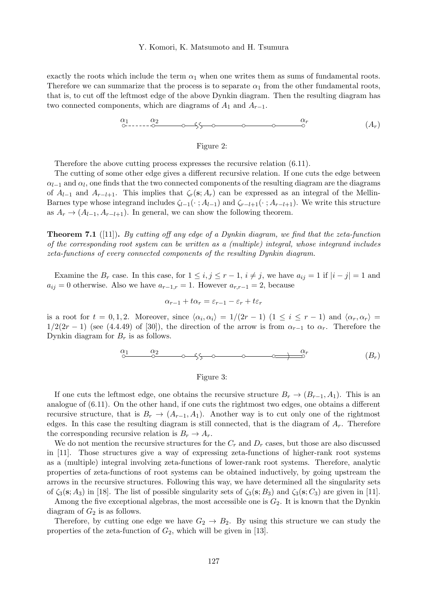exactly the roots which include the term  $\alpha_1$  when one writes them as sums of fundamental roots. Therefore we can summarize that the process is to separate  $\alpha_1$  from the other fundamental roots, that is, to cut off the leftmost edge of the above Dynkin diagram. Then the resulting diagram has two connected components, which are diagrams of  $A_1$  and  $A_{r-1}$ .

$$
\begin{array}{cccc}\n\alpha_1 & \alpha_2 & \alpha_3 & \alpha_4 \\
\hline\n\circ & \circ & \circ & \circ & \circ & \circ \\
\hline\n\circ & \circ & \circ & \circ & \circ & \circ\n\end{array}
$$

#### Figure 2:

Therefore the above cutting process expresses the recursive relation (6.11).

The cutting of some other edge gives a different recursive relation. If one cuts the edge between  $\alpha_{l-1}$  and  $\alpha_l$ , one finds that the two connected components of the resulting diagram are the diagrams of  $A_{l-1}$  and  $A_{r-l+1}$ . This implies that  $\zeta_r(\mathbf{s}; A_r)$  can be expressed as an integral of the Mellin-Barnes type whose integrand includes  $\zeta_{l-1}(\cdot; A_{l-1})$  and  $\zeta_{r-l+1}(\cdot; A_{r-l+1})$ . We write this structure as  $A_r \to (A_{l-1}, A_{r-l+1})$ . In general, we can show the following theorem.

**Theorem 7.1** ([11]). By cutting off any edge of a Dynkin diagram, we find that the zeta-function of the corresponding root system can be written as a (multiple) integral, whose integrand includes zeta-functions of every connected components of the resulting Dynkin diagram.

Examine the  $B_r$  case. In this case, for  $1 \le i, j \le r-1, i \ne j$ , we have  $a_{ij} = 1$  if  $|i-j| = 1$  and  $a_{ij} = 0$  otherwise. Also we have  $a_{r-1,r} = 1$ . However  $a_{r,r-1} = 2$ , because

$$
\alpha_{r-1} + t\alpha_r = \varepsilon_{r-1} - \varepsilon_r + t\varepsilon_r
$$

is a root for  $t = 0, 1, 2$ . Moreover, since  $\langle \alpha_i, \alpha_i \rangle = 1/(2r - 1)$   $(1 \le i \le r - 1)$  and  $\langle \alpha_r, \alpha_r \rangle =$  $1/2(2r-1)$  (see (4.4.49) of [30]), the direction of the arrow is from  $\alpha_{r-1}$  to  $\alpha_r$ . Therefore the Dynkin diagram for  $B_r$  is as follows.

$$
\underbrace{\alpha_1 \qquad \alpha_2}_{\bigcirc \qquad \qquad \bigcirc \qquad \qquad \bigcirc \qquad \qquad \bigcirc \qquad \qquad \bigcirc \qquad \qquad \qquad \alpha_r \qquad (B_r)
$$

#### Figure 3:

If one cuts the leftmost edge, one obtains the recursive structure  $B_r \to (B_{r-1}, A_1)$ . This is an analogue of (6.11). On the other hand, if one cuts the rightmost two edges, one obtains a different recursive structure, that is  $B_r \to (A_{r-1}, A_1)$ . Another way is to cut only one of the rightmost edges. In this case the resulting diagram is still connected, that is the diagram of  $A<sub>r</sub>$ . Therefore the corresponding recursive relation is  $B_r \to A_r$ .

We do not mention the recursive structures for the  $C_r$  and  $D_r$  cases, but those are also discussed in [11]. Those structures give a way of expressing zeta-functions of higher-rank root systems as a (multiple) integral involving zeta-functions of lower-rank root systems. Therefore, analytic properties of zeta-functions of root systems can be obtained inductively, by going upstream the arrows in the recursive structures. Following this way, we have determined all the singularity sets of  $\zeta_3(\mathbf{s}; A_3)$  in [18]. The list of possible singularity sets of  $\zeta_3(\mathbf{s}; B_3)$  and  $\zeta_3(\mathbf{s}; C_3)$  are given in [11].

Among the five exceptional algebras, the most accessible one is  $G_2$ . It is known that the Dynkin diagram of  $G_2$  is as follows.

Therefore, by cutting one edge we have  $G_2 \rightarrow B_2$ . By using this structure we can study the properties of the zeta-function of  $G_2$ , which will be given in [13].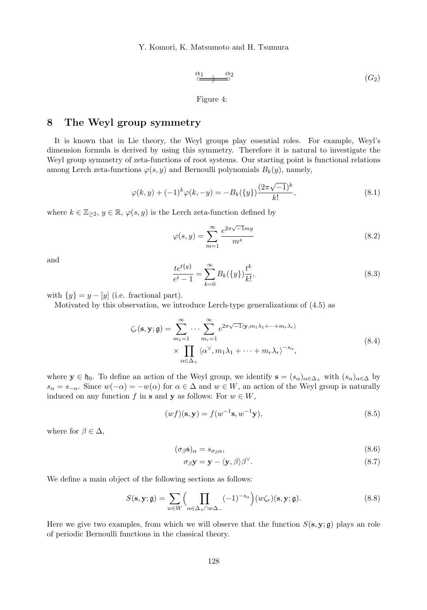$$
\overbrace{\circ \overbrace{\circ \cdots \circ \circ}}^{\alpha_1} \qquad \qquad \alpha_2 \qquad \qquad (G_2)
$$

Figure 4:

# 8 The Weyl group symmetry

It is known that in Lie theory, the Weyl groups play essential roles. For example, Weyl's dimension formula is derived by using this symmetry. Therefore it is natural to investigate the Weyl group symmetry of zeta-functions of root systems. Our starting point is functional relations among Lerch zeta-functions  $\varphi(s, y)$  and Bernoulli polynomials  $B_k(y)$ , namely,

$$
\varphi(k,y) + (-1)^k \varphi(k,-y) = -B_k({y}) \frac{(2\pi\sqrt{-1})^k}{k!},
$$
\n(8.1)

where  $k \in \mathbb{Z}_{\geq 2}$ ,  $y \in \mathbb{R}$ ,  $\varphi(s, y)$  is the Lerch zeta-function defined by

$$
\varphi(s,y) = \sum_{m=1}^{\infty} \frac{e^{2\pi\sqrt{-1}my}}{m^s} \tag{8.2}
$$

and

$$
\frac{te^{t\{y\}}}{e^t - 1} = \sum_{k=0}^{\infty} B_k(\{y\}) \frac{t^k}{k!},\tag{8.3}
$$

with  $\{y\} = y - [y]$  (i.e. fractional part).

Motivated by this observation, we introduce Lerch-type generalizations of (4.5) as

$$
\zeta_r(\mathbf{s}, \mathbf{y}; \mathbf{g}) = \sum_{m_1=1}^{\infty} \cdots \sum_{m_r=1}^{\infty} e^{2\pi\sqrt{-1}\langle \mathbf{y}, m_1\lambda_1 + \cdots + m_r\lambda_r \rangle} \times \prod_{\alpha \in \Delta_+} \langle \alpha^{\vee}, m_1\lambda_1 + \cdots + m_r\lambda_r \rangle^{-s_{\alpha}},
$$
\n(8.4)

where  $y \in \mathfrak{h}_0$ . To define an action of the Weyl group, we identify  $s = (s_\alpha)_{\alpha \in \Delta_+}$  with  $(s_\alpha)_{\alpha \in \Delta_+}$  $s_{\alpha} = s_{-\alpha}$ . Since  $w(-\alpha) = -w(\alpha)$  for  $\alpha \in \Delta$  and  $w \in W$ , an action of the Weyl group is naturally induced on any function f in s and y as follows: For  $w \in W$ ,

$$
(wf)(\mathbf{s}, \mathbf{y}) = f(w^{-1}\mathbf{s}, w^{-1}\mathbf{y}),\tag{8.5}
$$

where for  $\beta \in \Delta$ ,

$$
(\sigma_{\beta} \mathbf{s})_{\alpha} = s_{\sigma_{\beta} \alpha},\tag{8.6}
$$

$$
\sigma_{\beta} \mathbf{y} = \mathbf{y} - \langle \mathbf{y}, \beta \rangle \beta^{\vee}.
$$
 (8.7)

We define a main object of the following sections as follows:

$$
S(\mathbf{s}, \mathbf{y}; \mathfrak{g}) = \sum_{w \in W} \left( \prod_{\alpha \in \Delta_+ \cap w\Delta_-} (-1)^{-s_{\alpha}} \right) (w \zeta_r)(\mathbf{s}, \mathbf{y}; \mathfrak{g}). \tag{8.8}
$$

Here we give two examples, from which we will observe that the function  $S(s, y; \mathfrak{g})$  plays an role of periodic Bernoulli functions in the classical theory.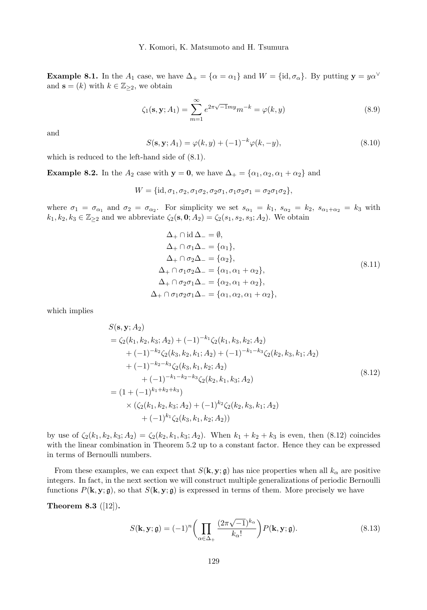**Example 8.1.** In the  $A_1$  case, we have  $\Delta_+ = {\alpha = \alpha_1}$  and  $W = {\text{id}, \sigma_\alpha}$ . By putting  $y = y\alpha^\vee$ and  $\mathbf{s} = (k)$  with  $k \in \mathbb{Z}_{\geq 2}$ , we obtain

$$
\zeta_1(\mathbf{s}, \mathbf{y}; A_1) = \sum_{m=1}^{\infty} e^{2\pi\sqrt{-1}my} m^{-k} = \varphi(k, y)
$$
\n(8.9)

and

$$
S(\mathbf{s}, \mathbf{y}; A_1) = \varphi(k, y) + (-1)^{-k} \varphi(k, -y), \tag{8.10}
$$

which is reduced to the left-hand side of (8.1).

**Example 8.2.** In the  $A_2$  case with  $y = 0$ , we have  $\Delta_+ = {\alpha_1, \alpha_2, \alpha_1 + \alpha_2}$  and

 $W = {\mathrm{id}, \sigma_1, \sigma_2, \sigma_1\sigma_2, \sigma_2\sigma_1, \sigma_1\sigma_2\sigma_1 = \sigma_2\sigma_1\sigma_2},$ 

where  $\sigma_1 = \sigma_{\alpha_1}$  and  $\sigma_2 = \sigma_{\alpha_2}$ . For simplicity we set  $s_{\alpha_1} = k_1$ ,  $s_{\alpha_2} = k_2$ ,  $s_{\alpha_1+\alpha_2} = k_3$  with  $k_1, k_2, k_3 \in \mathbb{Z}_{\geq 2}$  and we abbreviate  $\zeta_2(\mathbf{s}, \mathbf{0}; A_2) = \zeta_2(s_1, s_2, s_3; A_2)$ . We obtain

$$
\Delta_{+} \cap \text{id} \Delta_{-} = \emptyset,
$$
  
\n
$$
\Delta_{+} \cap \sigma_{1} \Delta_{-} = \{\alpha_{1}\},
$$
  
\n
$$
\Delta_{+} \cap \sigma_{2} \Delta_{-} = \{\alpha_{2}\},
$$
  
\n
$$
\Delta_{+} \cap \sigma_{1} \sigma_{2} \Delta_{-} = \{\alpha_{1}, \alpha_{1} + \alpha_{2}\},
$$
  
\n
$$
\Delta_{+} \cap \sigma_{2} \sigma_{1} \Delta_{-} = \{\alpha_{2}, \alpha_{1} + \alpha_{2}\},
$$
  
\n
$$
\Delta_{+} \cap \sigma_{1} \sigma_{2} \sigma_{1} \Delta_{-} = \{\alpha_{1}, \alpha_{2}, \alpha_{1} + \alpha_{2}\},
$$
  
\n(8.11)

which implies

$$
S(\mathbf{s}, \mathbf{y}; A_2)
$$
  
=  $\zeta_2(k_1, k_2, k_3; A_2) + (-1)^{-k_1} \zeta_2(k_1, k_3, k_2; A_2)$   
+  $(-1)^{-k_2} \zeta_2(k_3, k_2, k_1; A_2) + (-1)^{-k_1 - k_3} \zeta_2(k_2, k_3, k_1; A_2)$   
+  $(-1)^{-k_2 - k_3} \zeta_2(k_3, k_1, k_2; A_2)$   
+  $(-1)^{-k_1 - k_2 - k_3} \zeta_2(k_2, k_1, k_3; A_2)$   
=  $(1 + (-1)^{k_1 + k_2 + k_3})$   
×  $(\zeta_2(k_1, k_2, k_3; A_2) + (-1)^{k_2} \zeta_2(k_2, k_3, k_1; A_2)$   
+  $(-1)^{k_1} \zeta_2(k_3, k_1, k_2; A_2)$ )

by use of  $\zeta_2(k_1, k_2, k_3; A_2) = \zeta_2(k_2, k_1, k_3; A_2)$ . When  $k_1 + k_2 + k_3$  is even, then (8.12) coincides with the linear combination in Theorem 5.2 up to a constant factor. Hence they can be expressed in terms of Bernoulli numbers.

From these examples, we can expect that  $S(k, y; \mathfrak{g})$  has nice properties when all  $k_{\alpha}$  are positive integers. In fact, in the next section we will construct multiple generalizations of periodic Bernoulli functions  $P(\mathbf{k}, \mathbf{y}; \mathbf{g})$ , so that  $S(\mathbf{k}, \mathbf{y}; \mathbf{g})$  is expressed in terms of them. More precisely we have

Theorem 8.3 ([12]).

$$
S(\mathbf{k}, \mathbf{y}; \mathbf{g}) = (-1)^n \left( \prod_{\alpha \in \Delta_+} \frac{(2\pi\sqrt{-1})^{k_{\alpha}}}{k_{\alpha}!} \right) P(\mathbf{k}, \mathbf{y}; \mathbf{g}).
$$
\n(8.13)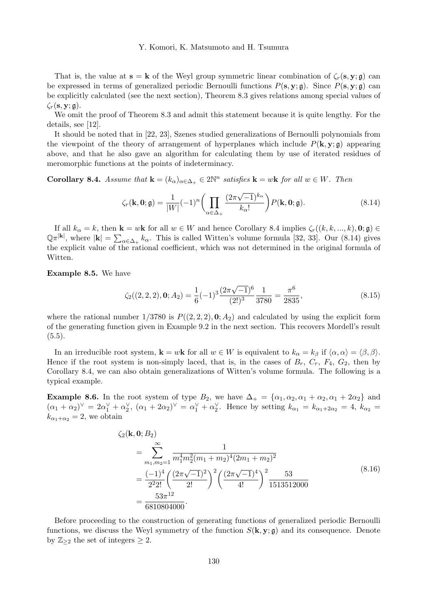That is, the value at  $s = k$  of the Weyl group symmetric linear combination of  $\zeta_r(s, y; \rho)$  can be expressed in terms of generalized periodic Bernoulli functions  $P(s, y; \mathfrak{g})$ . Since  $P(s, y; \mathfrak{g})$  can be explicitly calculated (see the next section), Theorem 8.3 gives relations among special values of  $\zeta_r(\mathbf{s}, \mathbf{y}; \mathfrak{g}).$ 

We omit the proof of Theorem 8.3 and admit this statement because it is quite lengthy. For the details, see [12].

It should be noted that in [22, 23], Szenes studied generalizations of Bernoulli polynomials from the viewpoint of the theory of arrangement of hyperplanes which include  $P(k, y; \mathfrak{g})$  appearing above, and that he also gave an algorithm for calculating them by use of iterated residues of meromorphic functions at the points of indeterminacy.

**Corollary 8.4.** Assume that  $\mathbf{k} = (k_{\alpha})_{\alpha \in \Delta_+} \in 2\mathbb{N}^n$  satisfies  $\mathbf{k} = w\mathbf{k}$  for all  $w \in W$ . Then

$$
\zeta_r(\mathbf{k}, \mathbf{0}; \mathfrak{g}) = \frac{1}{|W|} (-1)^n \left( \prod_{\alpha \in \Delta_+} \frac{(2\pi\sqrt{-1})^{k_{\alpha}}}{k_{\alpha}!} \right) P(\mathbf{k}, \mathbf{0}; \mathfrak{g}). \tag{8.14}
$$

If all  $k_{\alpha} = k$ , then  $\mathbf{k} = w\mathbf{k}$  for all  $w \in W$  and hence Corollary 8.4 implies  $\zeta_r((k, k, ..., k), 0; \mathfrak{g}) \in$  $\mathbb{Q}^{\pi^{k}}$ , where  $|k| = \sum_{\alpha \in \Delta_+} k_{\alpha}$ . This is called Witten's volume formula [32, 33]. Our (8.14) gives the explicit value of the rational coefficient, which was not determined in the original formula of Witten.

Example 8.5. We have

$$
\zeta_2((2,2,2),\mathbf{0};A_2) = \frac{1}{6}(-1)^3 \frac{(2\pi\sqrt{-1})^6}{(2!)^3} \frac{1}{3780} = \frac{\pi^6}{2835},\tag{8.15}
$$

where the rational number  $1/3780$  is  $P((2, 2, 2), 0; A_2)$  and calculated by using the explicit form of the generating function given in Example 9.2 in the next section. This recovers Mordell's result  $(5.5).$ 

In an irreducible root system,  $\mathbf{k} = w\mathbf{k}$  for all  $w \in W$  is equivalent to  $k_{\alpha} = k_{\beta}$  if  $\langle \alpha, \alpha \rangle = \langle \beta, \beta \rangle$ . Hence if the root system is non-simply laced, that is, in the cases of  $B_r$ ,  $C_r$ ,  $F_4$ ,  $G_2$ , then by Corollary 8.4, we can also obtain generalizations of Witten's volume formula. The following is a typical example.

**Example 8.6.** In the root system of type  $B_2$ , we have  $\Delta_+ = {\alpha_1, \alpha_2, \alpha_1 + \alpha_2, \alpha_1 + 2\alpha_2}$  and  $(\alpha_1 + \alpha_2)^{\vee} = 2\alpha_1^{\vee} + \alpha_2^{\vee}$ ,  $(\alpha_1 + 2\alpha_2)^{\vee} = \alpha_1^{\vee} + \alpha_2^{\vee}$ . Hence by setting  $k_{\alpha_1} = k_{\alpha_1 + 2\alpha_2} = 4$ ,  $k_{\alpha_2} = 4$  $k_{\alpha_1+\alpha_2} = 2$ , we obtain

$$
\zeta_2(\mathbf{k}, \mathbf{0}; B_2)
$$
\n
$$
= \sum_{m_1, m_2=1}^{\infty} \frac{1}{m_1^4 m_2^2 (m_1 + m_2)^4 (2m_1 + m_2)^2}
$$
\n
$$
= \frac{(-1)^4}{2^2 2!} \left( \frac{(2\pi\sqrt{-1})^2}{2!} \right)^2 \left( \frac{(2\pi\sqrt{-1})^4}{4!} \right)^2 \frac{53}{1513512000}
$$
\n
$$
= \frac{53\pi^{12}}{6810804000}.
$$
\n(8.16)

Before proceeding to the construction of generating functions of generalized periodic Bernoulli functions, we discuss the Weyl symmetry of the function  $S(\mathbf{k}, \mathbf{y}; \mathfrak{g})$  and its consequence. Denote by  $\mathbb{Z}_{\geq 2}$  the set of integers  $\geq 2$ .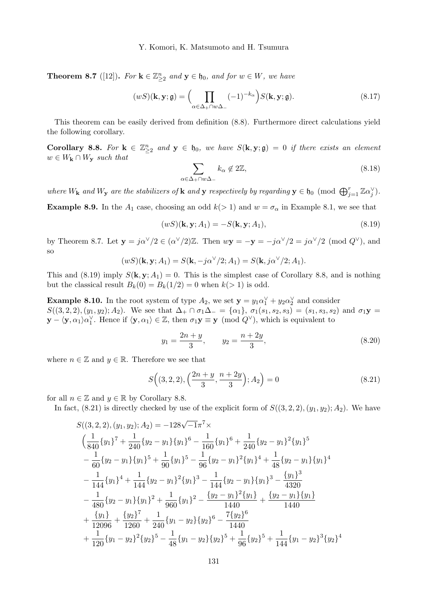**Theorem 8.7** ([12]). For  $\mathbf{k} \in \mathbb{Z}_{\geq 2}^n$  and  $\mathbf{y} \in \mathfrak{h}_0$ , and for  $w \in W$ , we have

$$
(wS)(\mathbf{k}, \mathbf{y}; \mathbf{g}) = \left(\prod_{\alpha \in \Delta_+ \cap w\Delta_-} (-1)^{-k_{\alpha}}\right) S(\mathbf{k}, \mathbf{y}; \mathbf{g}).
$$
\n(8.17)

This theorem can be easily derived from definition (8.8). Furthermore direct calculations yield the following corollary.

Corollary 8.8. For  $k \in \mathbb{Z}_{\geq 2}^n$  and  $y \in \mathfrak{h}_0$ , we have  $S(k, y; \mathfrak{g}) = 0$  if there exists an element  $w \in W_{\mathbf{k}} \cap W_{\mathbf{y}}$  such that

$$
\sum_{\alpha \in \Delta_+ \cap w\Delta_-} k_{\alpha} \notin 2\mathbb{Z},\tag{8.18}
$$

where  $W_{\mathbf{k}}$  and  $W_{\mathbf{y}}$  are the stabilizers of  $\mathbf{k}$  and  $\mathbf{y}$  respectively by regarding  $\mathbf{y} \in \mathfrak{h}_0$  (mod  $\bigoplus_{j=1}^r \mathbb{Z} \alpha_j^{\vee}$ ).

**Example 8.9.** In the  $A_1$  case, choosing an odd  $k(> 1)$  and  $w = \sigma_\alpha$  in Example 8.1, we see that

$$
(wS)(\mathbf{k}, \mathbf{y}; A_1) = -S(\mathbf{k}, \mathbf{y}; A_1),\tag{8.19}
$$

by Theorem 8.7. Let  $y = j\alpha^{\vee}/2 \in (\alpha^{\vee}/2)\mathbb{Z}$ . Then  $wy = -y = -j\alpha^{\vee}/2 = j\alpha^{\vee}/2$  (mod  $Q^{\vee}$ ), and so

$$
(wS)(\mathbf{k}, \mathbf{y}; A_1) = S(\mathbf{k}, -j\alpha^{\vee}/2; A_1) = S(\mathbf{k}, j\alpha^{\vee}/2; A_1).
$$

This and (8.19) imply  $S(\mathbf{k}, \mathbf{y}; A_1) = 0$ . This is the simplest case of Corollary 8.8, and is nothing but the classical result  $B_k(0) = B_k(1/2) = 0$  when  $k(>1)$  is odd.

**Example 8.10.** In the root system of type  $A_2$ , we set  $y = y_1 \alpha_1^{\vee} + y_2 \alpha_2^{\vee}$  and consider  $S((3,2,2),(y_1,y_2);A_2).$  We see that  $\Delta_+\cap \sigma_1\Delta_-=\{\alpha_1\}, \sigma_1(s_1,s_2,s_3)=(s_1,s_3,s_2)$  and  $\sigma_1\mathbf{y}=$  $\mathbf{y} - \langle \mathbf{y}, \alpha_1 \rangle \alpha_1^{\vee}$ . Hence if  $\langle \mathbf{y}, \alpha_1 \rangle \in \mathbb{Z}$ , then  $\sigma_1 \mathbf{y} \equiv \mathbf{y} \pmod{Q^{\vee}}$ , which is equivalent to

$$
y_1 = \frac{2n+y}{3}
$$
,  $y_2 = \frac{n+2y}{3}$ , (8.20)

where  $n \in \mathbb{Z}$  and  $y \in \mathbb{R}$ . Therefore we see that

$$
S\Big((3,2,2), \left(\frac{2n+y}{3}, \frac{n+2y}{3}\right); A_2\Big) = 0\tag{8.21}
$$

for all  $n \in \mathbb{Z}$  and  $y \in \mathbb{R}$  by Corollary 8.8.

In fact,  $(8.21)$  is directly checked by use of the explicit form of  $S((3,2,2),(y_1,y_2); A_2)$ . We have

$$
S((3,2,2),(y_1,y_2);A_2) = -128\sqrt{-1}\pi^7 \times
$$
  
\n
$$
\left(\frac{1}{840}\{y_1\}^7 + \frac{1}{240}\{y_2 - y_1\}\{y_1\}^6 - \frac{1}{160}\{y_1\}^6 + \frac{1}{240}\{y_2 - y_1\}^2\{y_1\}^5 - \frac{1}{60}\{y_2 - y_1\}\{y_1\}^5 + \frac{1}{90}\{y_1\}^5 - \frac{1}{96}\{y_2 - y_1\}^2\{y_1\}^4 + \frac{1}{48}\{y_2 - y_1\}\{y_1\}^4
$$
  
\n
$$
- \frac{1}{144}\{y_1\}^4 + \frac{1}{144}\{y_2 - y_1\}^2\{y_1\}^3 - \frac{1}{144}\{y_2 - y_1\}\{y_1\}^3 - \frac{\{y_1\}^3}{4320}
$$
  
\n
$$
- \frac{1}{480}\{y_2 - y_1\}\{y_1\}^2 + \frac{1}{960}\{y_1\}^2 - \frac{\{y_2 - y_1\}^2\{y_1\}}{1440} + \frac{\{y_2 - y_1\}\{y_1\}}{1440}
$$
  
\n
$$
+ \frac{\{y_1\}}{12096} + \frac{\{y_2\}^7}{1260} + \frac{1}{240}\{y_1 - y_2\}\{y_2\}^6 - \frac{7\{y_2\}^6}{1440}
$$
  
\n
$$
+ \frac{1}{120}\{y_1 - y_2\}^2\{y_2\}^5 - \frac{1}{48}\{y_1 - y_2\}\{y_2\}^5 + \frac{1}{96}\{y_2\}^5 + \frac{1}{144}\{y_1 - y_2\}^3\{y_2\}^4
$$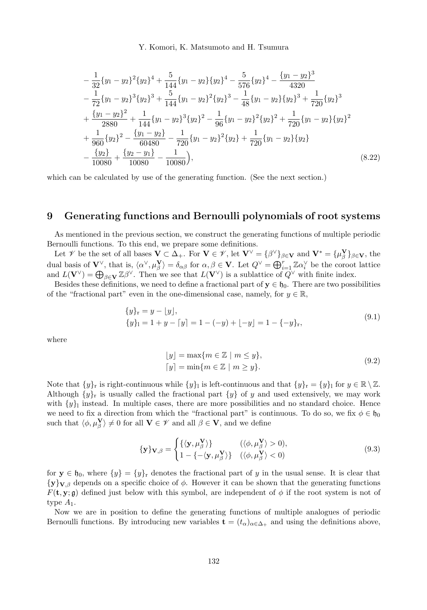$$
-\frac{1}{32}{y_1 - y_2}^2{y_2}^4 + \frac{5}{144}{y_1 - y_2}{y_2}^4 - \frac{5}{576}{y_2}^4 - \frac{{y_1 - y_2}^3}{4320}-\frac{1}{72}{y_1 - y_2}^3{y_2}^3 + \frac{5}{144}{y_1 - y_2}^2{y_2}^3 - \frac{1}{48}{y_1 - y_2}{y_2}^3 + \frac{1}{720}{y_2}^3
$$
  
+ 
$$
\frac{{y_1 - y_2}^2}{2880} + \frac{1}{144}{y_1 - y_2}^3{y_2}^2 - \frac{1}{96}{y_1 - y_2}^2{y_2}^2 + \frac{1}{720}{y_1 - y_2}{y_2}^2
$$
  
+ 
$$
\frac{1}{960}{y_2}^2 - \frac{{y_1 - y_2}^3}{60480} - \frac{1}{720}{y_1 - y_2}^2{y_2} + \frac{1}{720}{y_1 - y_2}{y_2}
$$
  
- 
$$
\frac{{y_2}^2}{10080} + \frac{{y_2 - y_1}^3}{10080} - \frac{1}{10080}
$$
, (8.22)

which can be calculated by use of the generating function. (See the next section.)

## 9 Generating functions and Bernoulli polynomials of root systems

As mentioned in the previous section, we construct the generating functions of multiple periodic Bernoulli functions. To this end, we prepare some definitions.

Let  $\mathscr V$  be the set of all bases  $\mathbf V \subset \Delta_+$ . For  $\mathbf V \in \mathscr V$ , let  $\mathbf V^\vee = {\beta^\vee}_{\beta \in \mathbf V}$  and  $\mathbf V^* = {\mu_\beta^\mathbf V}_{\beta \in \mathbf V}$ , the dual basis of  $\mathbf{V}^{\vee}$ , that is,  $\langle \alpha^{\vee}, \mu_{\beta}^{\mathbf{V}} \rangle = \delta_{\alpha\beta}$  for  $\alpha, \beta \in \mathbf{V}$ . Let  $Q^{\vee} = \bigoplus_{i=1}^{r} \mathbb{Z} \alpha_i^{\vee}$  be the coroot lattice and  $L(\mathbf{V}^{\vee}) = \bigoplus_{\beta \in \mathbf{V}} \mathbb{Z}^{\beta}{}^{\vee}$ . Then we see that  $L(\mathbf{V}^{\vee})$  is a sublattice of  $Q^{\vee}$  with finite index.

Besides these definitions, we need to define a fractional part of  $y \in \mathfrak{h}_0$ . There are two possibilities of the "fractional part" even in the one-dimensional case, namely, for  $y \in \mathbb{R}$ ,

$$
\{y\}_{r} = y - \lfloor y \rfloor, \n\{y\}_{1} = 1 + y - \lfloor y \rfloor = 1 - (-y) + \lfloor -y \rfloor = 1 - \{-y\}_{r},
$$
\n(9.1)

where

$$
[y] = \max\{m \in \mathbb{Z} \mid m \le y\},\
$$
  

$$
[y] = \min\{m \in \mathbb{Z} \mid m \ge y\}.
$$
  
(9.2)

Note that  $\{y\}_r$  is right-continuous while  $\{y\}_1$  is left-continuous and that  $\{y\}_r = \{y\}_1$  for  $y \in \mathbb{R} \setminus \mathbb{Z}$ . Although  $\{y\}_r$  is usually called the fractional part  $\{y\}$  of y and used extensively, we may work with  $\{y\}$  instead. In multiple cases, there are more possibilities and no standard choice. Hence we need to fix a direction from which the "fractional part" is continuous. To do so, we fix  $\phi \in \mathfrak{h}_0$ such that  $\langle \phi, \mu_{\beta}^{\mathbf{V}} \rangle \neq 0$  for all  $\mathbf{V} \in \mathcal{V}$  and all  $\beta \in \mathbf{V}$ , and we define

$$
\{\mathbf{y}\}_{\mathbf{V},\beta} = \begin{cases} {\{\langle \mathbf{y}, \mu_{\beta}^{\mathbf{V}} \rangle\}} & (\langle \phi, \mu_{\beta}^{\mathbf{V}} \rangle > 0), \\ 1 - {\{-\langle \mathbf{y}, \mu_{\beta}^{\mathbf{V}} \rangle\}} & (\langle \phi, \mu_{\beta}^{\mathbf{V}} \rangle < 0) \end{cases}
$$
(9.3)

for  $y \in \mathfrak{h}_0$ , where  $\{y\} = \{y\}$  denotes the fractional part of y in the usual sense. It is clear that  ${y}_{y,g}$  depends on a specific choice of  $\phi$ . However it can be shown that the generating functions  $F(\mathbf{t}, \mathbf{y}; \mathfrak{g})$  defined just below with this symbol, are independent of  $\phi$  if the root system is not of type  $A_1$ .

Now we are in position to define the generating functions of multiple analogues of periodic Bernoulli functions. By introducing new variables  $\mathbf{t} = (t_{\alpha})_{\alpha \in \Delta_+}$  and using the definitions above,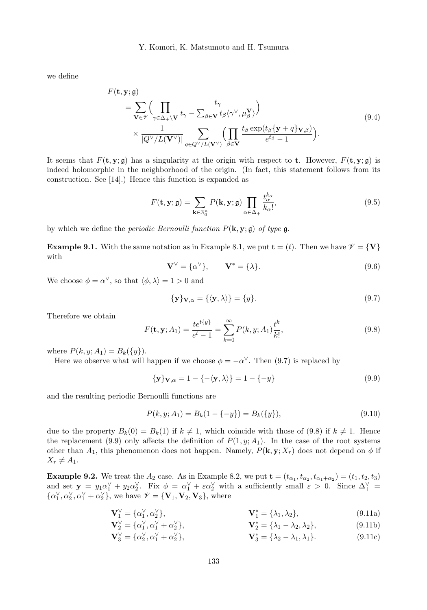we define

$$
F(\mathbf{t}, \mathbf{y}; \mathfrak{g}) = \sum_{\mathbf{V} \in \mathcal{V}} \Biggl( \prod_{\gamma \in \Delta_+ \setminus \mathbf{V}} \frac{t_\gamma}{t_\gamma - \sum_{\beta \in \mathbf{V}} t_\beta \langle \gamma^\vee, \mu_\beta^\mathbf{V} \rangle} \Biggr) \times \frac{1}{|Q^\vee/L(\mathbf{V}^\vee)|} \sum_{q \in Q^\vee/L(\mathbf{V}^\vee)} \Biggl( \prod_{\beta \in \mathbf{V}} \frac{t_\beta \exp(t_\beta \{\mathbf{y} + q\} \mathbf{v}_{,\beta})}{e^{t_\beta} - 1} \Biggr).
$$
\n(9.4)

It seems that  $F(\mathbf{t}, \mathbf{y}; \mathfrak{g})$  has a singularity at the origin with respect to **t**. However,  $F(\mathbf{t}, \mathbf{y}; \mathfrak{g})$  is indeed holomorphic in the neighborhood of the origin. (In fact, this statement follows from its construction. See [14].) Hence this function is expanded as

$$
F(\mathbf{t}, \mathbf{y}; \mathfrak{g}) = \sum_{\mathbf{k} \in \mathbb{N}_0^n} P(\mathbf{k}, \mathbf{y}; \mathfrak{g}) \prod_{\alpha \in \Delta_+} \frac{t_\alpha^{k_\alpha}}{k_\alpha!},
$$
\n(9.5)

by which we define the *periodic Bernoulli function*  $P(\mathbf{k}, \mathbf{y}; \mathfrak{g})$  of type  $\mathfrak{g}$ .

**Example 9.1.** With the same notation as in Example 8.1, we put  $\mathbf{t} = (t)$ . Then we have  $\mathcal{V} = \{V\}$ with

$$
\mathbf{V}^{\vee} = \{ \alpha^{\vee} \}, \qquad \mathbf{V}^* = \{ \lambda \}. \tag{9.6}
$$

We choose  $\phi = \alpha^{\vee}$ , so that  $\langle \phi, \lambda \rangle = 1 > 0$  and

$$
\{\mathbf{y}\}_{\mathbf{V},\alpha} = \{\langle \mathbf{y}, \lambda \rangle\} = \{y\}.
$$
\n(9.7)

Therefore we obtain

$$
F(\mathbf{t}, \mathbf{y}; A_1) = \frac{te^{t\{y\}}}{e^t - 1} = \sum_{k=0}^{\infty} P(k, y; A_1) \frac{t^k}{k!},
$$
\n(9.8)

where  $P(k, y; A_1) = B_k({y}).$ 

Here we observe what will happen if we choose  $\phi = -\alpha^{\vee}$ . Then (9.7) is replaced by

$$
\{y\}_{V,\alpha} = 1 - \{-\langle y,\lambda \rangle\} = 1 - \{-y\}
$$
\n(9.9)

and the resulting periodic Bernoulli functions are

$$
P(k, y; A_1) = B_k(1 - \{-y\}) = B_k(\{y\}),\tag{9.10}
$$

due to the property  $B_k(0) = B_k(1)$  if  $k \neq 1$ , which coincide with those of (9.8) if  $k \neq 1$ . Hence the replacement (9.9) only affects the definition of  $P(1, y; A_1)$ . In the case of the root systems other than  $A_1$ , this phenomenon does not happen. Namely,  $P(\mathbf{k}, \mathbf{y}; X_r)$  does not depend on  $\phi$  if  $X_r \neq A_1$ .

**Example 9.2.** We treat the  $A_2$  case. As in Example 8.2, we put  $\mathbf{t} = (t_{\alpha_1}, t_{\alpha_2}, t_{\alpha_1+\alpha_2}) = (t_1, t_2, t_3)$ and set  $y = y_1 \alpha_1^{\vee} + y_2 \alpha_2^{\vee}$ . Fix  $\phi = \alpha_1^{\vee} + \varepsilon \alpha_2^{\vee}$  with a sufficiently small  $\varepsilon > 0$ . Since  $\Delta_+^{\vee} =$  $\{\alpha_1^{\vee}, \alpha_2^{\vee}, \alpha_1^{\vee} + \alpha_2^{\vee}\},$  we have  $\mathscr{V} = {\mathbf{V}_1, \mathbf{V}_2, \mathbf{V}_3}$ , where

$$
\mathbf{V}_1^{\vee} = \{\alpha_1^{\vee}, \alpha_2^{\vee}\}, \qquad \mathbf{V}_1^* = \{\lambda_1, \lambda_2\}, \tag{9.11a}
$$

$$
\mathbf{V}_{2}^{\vee} = \{\alpha_{1}^{\vee}, \alpha_{1}^{\vee} + \alpha_{2}^{\vee}\}, \qquad \mathbf{V}_{2}^{*} = \{\lambda_{1} - \lambda_{2}, \lambda_{2}\}, \tag{9.11b}
$$

$$
\mathbf{V}_3^{\vee} = \{ \alpha_2^{\vee}, \alpha_1^{\vee} + \alpha_2^{\vee} \}, \qquad \mathbf{V}_3^* = \{ \lambda_2 - \lambda_1, \lambda_1 \}. \tag{9.11c}
$$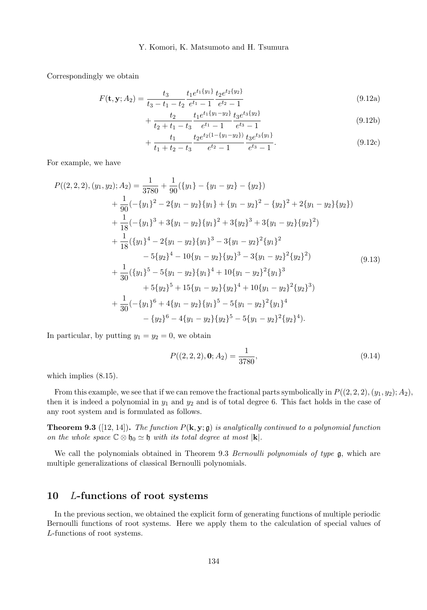Correspondingly we obtain

$$
F(\mathbf{t}, \mathbf{y}; A_2) = \frac{t_3}{t_3 - t_1 - t_2} \frac{t_1 e^{t_1 \{y_1\}}}{e^{t_1} - 1} \frac{t_2 e^{t_2 \{y_2\}}}{e^{t_2} - 1}
$$
(9.12a)

$$
+\frac{t_2}{t_2+t_1-t_3} \frac{t_1 e^{t_1 \{y_1-y_2\}}}{e^{t_1}-1} \frac{t_3 e^{t_3 \{y_2\}}}{e^{t_3}-1}
$$
(9.12b)

$$
+\frac{t_1}{t_1+t_2-t_3} \frac{t_2 e^{t_2(1-\{y_1-y_2\})}}{e^{t_2}-1} \frac{t_3 e^{t_3\{y_1\}}}{e^{t_3}-1}.
$$
\n(9.12c)

For example, we have

$$
P((2,2,2),(y_1,y_2);A_2) = \frac{1}{3780} + \frac{1}{90}(\{y_1\} - \{y_1 - y_2\} - \{y_2\})
$$
  
+ 
$$
\frac{1}{90}(-\{y_1\}^2 - 2\{y_1 - y_2\}\{y_1\} + \{y_1 - y_2\}^2 - \{y_2\}^2 + 2\{y_1 - y_2\}\{y_2\})
$$
  
+ 
$$
\frac{1}{18}(-\{y_1\}^3 + 3\{y_1 - y_2\}\{y_1\}^2 + 3\{y_2\}^3 + 3\{y_1 - y_2\}\{y_2\}^2)
$$
  
+ 
$$
\frac{1}{18}(\{y_1\}^4 - 2\{y_1 - y_2\}\{y_1\}^3 - 3\{y_1 - y_2\}^2\{y_1\}^2 - 5\{y_2\}^4 - 10\{y_1 - y_2\}\{y_2\}^3 - 3\{y_1 - y_2\}^2\{y_2\}^2)
$$
  
+ 
$$
\frac{1}{30}(\{y_1\}^5 - 5\{y_1 - y_2\}\{y_1\}^4 + 10\{y_1 - y_2\}^2\{y_1\}^3 + 5\{y_2\}^5 + 15\{y_1 - y_2\}\{y_2\}^4 + 10\{y_1 - y_2\}^2\{y_2\}^3)
$$
  
+ 
$$
\frac{1}{30}(-\{y_1\}^6 + 4\{y_1 - y_2\}\{y_1\}^5 - 5\{y_1 - y_2\}^2\{y_1\}^4 - \{y_2\}^6 - 4\{y_1 - y_2\}\{y_2\}^5 - 5\{y_1 - y_2\}^2\{y_2\}^4).
$$
\n(9.13)

In particular, by putting  $y_1 = y_2 = 0$ , we obtain

$$
P((2,2,2),0;A_2) = \frac{1}{3780},\tag{9.14}
$$

which implies (8.15).

From this example, we see that if we can remove the fractional parts symbolically in  $P((2, 2, 2), (y_1, y_2); A_2)$ , then it is indeed a polynomial in  $y_1$  and  $y_2$  and is of total degree 6. This fact holds in the case of any root system and is formulated as follows.

**Theorem 9.3** ([12, 14]). The function  $P(\mathbf{k}, \mathbf{y}; \mathfrak{g})$  is analytically continued to a polynomial function on the whole space  $\mathbb{C} \otimes \mathfrak{h}_0 \simeq \mathfrak{h}$  with its total degree at most  $|\mathbf{k}|$ .

We call the polynomials obtained in Theorem 9.3 Bernoulli polynomials of type  $\mathfrak{g}$ , which are multiple generalizations of classical Bernoulli polynomials.

# 10 L-functions of root systems

In the previous section, we obtained the explicit form of generating functions of multiple periodic Bernoulli functions of root systems. Here we apply them to the calculation of special values of L-functions of root systems.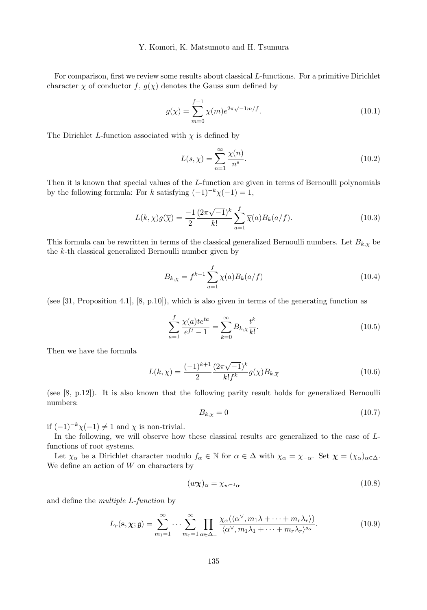For comparison, first we review some results about classical L-functions. For a primitive Dirichlet character  $\chi$  of conductor f,  $g(\chi)$  denotes the Gauss sum defined by

$$
g(\chi) = \sum_{m=0}^{f-1} \chi(m) e^{2\pi\sqrt{-1}m/f}.
$$
 (10.1)

The Dirichlet L-function associated with  $\chi$  is defined by

$$
L(s,\chi) = \sum_{n=1}^{\infty} \frac{\chi(n)}{n^s}.
$$
\n(10.2)

Then it is known that special values of the L-function are given in terms of Bernoulli polynomials by the following formula: For k satisfying  $(-1)^{-k}\chi(-1) = 1$ ,

$$
L(k,\chi)g(\overline{\chi}) = \frac{-1}{2} \frac{(2\pi\sqrt{-1})^k}{k!} \sum_{a=1}^f \overline{\chi}(a) B_k(a/f).
$$
 (10.3)

This formula can be rewritten in terms of the classical generalized Bernoulli numbers. Let  $B_{k,\chi}$  be the k-th classical generalized Bernoulli number given by

$$
B_{k,\chi} = f^{k-1} \sum_{a=1}^{f} \chi(a) B_k(a/f)
$$
 (10.4)

(see [31, Proposition 4.1], [8, p.10]), which is also given in terms of the generating function as

$$
\sum_{a=1}^{f} \frac{\chi(a) t e^{ta}}{e^{ft} - 1} = \sum_{k=0}^{\infty} B_{k,\chi} \frac{t^k}{k!}.
$$
\n(10.5)

Then we have the formula

$$
L(k,\chi) = \frac{(-1)^{k+1}}{2} \frac{(2\pi\sqrt{-1})^k}{k!f^k} g(\chi) B_{k,\overline{\chi}}
$$
(10.6)

(see [8, p.12]). It is also known that the following parity result holds for generalized Bernoulli numbers:

$$
B_{k,\chi} = 0\tag{10.7}
$$

if  $(-1)^{-k}\chi(-1) \neq 1$  and  $\chi$  is non-trivial.

In the following, we will observe how these classical results are generalized to the case of  $L$ functions of root systems.

Let  $\chi_{\alpha}$  be a Dirichlet character modulo  $f_{\alpha} \in \mathbb{N}$  for  $\alpha \in \Delta$  with  $\chi_{\alpha} = \chi_{-\alpha}$ . Set  $\chi = (\chi_{\alpha})_{\alpha \in \Delta}$ . We define an action of  $W$  on characters by

$$
(w\chi)_{\alpha} = \chi_{w^{-1}\alpha} \tag{10.8}
$$

and define the multiple L-function by

$$
L_r(\mathbf{s}, \chi; \mathfrak{g}) = \sum_{m_1=1}^{\infty} \cdots \sum_{m_r=1}^{\infty} \prod_{\alpha \in \Delta_+} \frac{\chi_{\alpha}(\langle \alpha^{\vee}, m_1 \lambda + \cdots + m_r \lambda_r \rangle)}{\langle \alpha^{\vee}, m_1 \lambda_1 + \cdots + m_r \lambda_r \rangle^{s_{\alpha}}}.
$$
(10.9)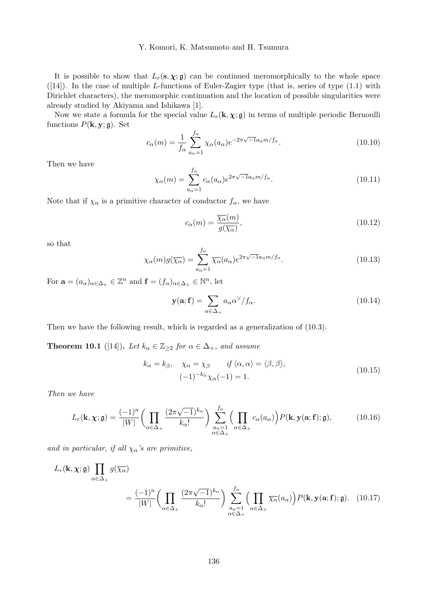It is possible to show that  $L_r(s, \chi; \mathfrak{g})$  can be continued meromorphically to the whole space  $([14])$ . In the case of multiple L-functions of Euler-Zagier type (that is, series of type  $(1.1)$  with Dirichlet characters), the meromorphic continuation and the location of possible singularities were already studied by Akiyama and Ishikawa [1].

Now we state a formula for the special value  $L_r(\mathbf{k}, \chi; \mathfrak{g})$  in terms of multiple periodic Bernoulli functions  $P(\mathbf{k}, \mathbf{y}; \mathbf{\mathfrak{g}})$ . Set

$$
c_{\alpha}(m) = \frac{1}{f_{\alpha}} \sum_{a_{\alpha}=1}^{f_{\alpha}} \chi_{\alpha}(a_{\alpha}) e^{-2\pi\sqrt{-1}a_{\alpha}m/f_{\alpha}}.
$$
 (10.10)

Then we have

$$
\chi_{\alpha}(m) = \sum_{a_{\alpha}=1}^{f_{\alpha}} c_{\alpha}(a_{\alpha}) e^{2\pi\sqrt{-1}a_{\alpha}m/f_{\alpha}}.
$$
\n(10.11)

Note that if  $\chi_{\alpha}$  is a primitive character of conductor  $f_{\alpha}$ , we have

$$
c_{\alpha}(m) = \frac{\overline{\chi_{\alpha}}(m)}{g(\overline{\chi_{\alpha}})},
$$
\n(10.12)

so that

$$
\chi_{\alpha}(m)g(\overline{\chi_{\alpha}}) = \sum_{a_{\alpha}=1}^{f_{\alpha}} \overline{\chi_{\alpha}}(a_{\alpha})e^{2\pi\sqrt{-1}a_{\alpha}m/f_{\alpha}}.
$$
\n(10.13)

For  $\mathbf{a} = (a_{\alpha})_{\alpha \in \Delta_+} \in \mathbb{Z}^n$  and  $\mathbf{f} = (f_{\alpha})_{\alpha \in \Delta_+} \in \mathbb{N}^n$ , let

$$
\mathbf{y}(\mathbf{a}; \mathbf{f}) = \sum_{\alpha \in \Delta_+} a_{\alpha} \alpha^{\vee} / f_{\alpha}.
$$
 (10.14)

Then we have the following result, which is regarded as a generalization of (10.3).

**Theorem 10.1** ([14]). Let  $k_{\alpha} \in \mathbb{Z}_{\geq 2}$  for  $\alpha \in \Delta_+$ , and assume

$$
k_{\alpha} = k_{\beta}, \quad \chi_{\alpha} = \chi_{\beta} \qquad \text{if } \langle \alpha, \alpha \rangle = \langle \beta, \beta \rangle,
$$
  

$$
(-1)^{-k_{\alpha}} \chi_{\alpha}(-1) = 1.
$$
 (10.15)

Then we have

$$
L_r(\mathbf{k}, \chi; \mathfrak{g}) = \frac{(-1)^n}{|W|} \left( \prod_{\alpha \in \Delta_+} \frac{(2\pi\sqrt{-1})^{k_{\alpha}}}{k_{\alpha}!} \right) \sum_{\substack{a_{\alpha}=1 \\ \alpha \in \Delta_+}}^{f_{\alpha}} \left( \prod_{\alpha \in \Delta_+} c_{\alpha}(a_{\alpha}) \right) P(\mathbf{k}, \mathbf{y}(\mathbf{a}; \mathbf{f}); \mathfrak{g}), \tag{10.16}
$$

and in particular, if all  $\chi_{\alpha}$ 's are primitive,

$$
L_r(\mathbf{k}, \chi; \mathfrak{g}) \prod_{\alpha \in \Delta_+} g(\overline{\chi_{\alpha}})
$$
  
= 
$$
\frac{(-1)^n}{|W|} \left( \prod_{\alpha \in \Delta_+} \frac{(2\pi \sqrt{-1})^{k_{\alpha}}}{k_{\alpha}!} \right) \sum_{\substack{a_{\alpha} = 1 \\ \alpha \in \Delta_+}}^{f_{\alpha}} \left( \prod_{\alpha \in \Delta_+} \overline{\chi_{\alpha}}(a_{\alpha}) \right) P(\mathbf{k}, \mathbf{y}(\mathbf{a}; \mathbf{f}); \mathfrak{g}). \quad (10.17)
$$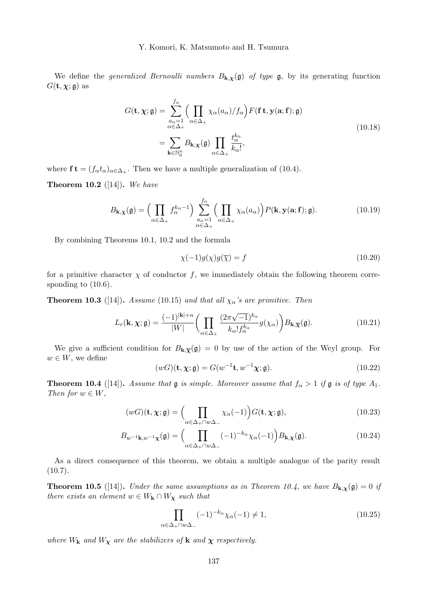We define the *generalized Bernoulli numbers*  $B_{\mathbf{k},\chi}(\mathfrak{g})$  of type  $\mathfrak{g}$ , by its generating function  $G(\mathbf{t}, \boldsymbol{\chi}; \mathfrak{g})$  as

$$
G(\mathbf{t}, \chi; \mathfrak{g}) = \sum_{\substack{a_{\alpha} = 1 \\ \alpha \in \Delta_{+}}}^{f_{\alpha}} \Big( \prod_{\alpha \in \Delta_{+}} \chi_{\alpha}(a_{\alpha}) / f_{\alpha} \Big) F(\mathbf{f} \mathbf{t}, \mathbf{y}(\mathbf{a}; \mathbf{f}); \mathfrak{g})
$$
  
= 
$$
\sum_{\mathbf{k} \in \mathbb{N}_{0}^{n}} B_{\mathbf{k}, \chi}(\mathfrak{g}) \prod_{\alpha \in \Delta_{+}} \frac{t_{\alpha}^{k_{\alpha}}}{k_{\alpha}!},
$$
 (10.18)

where  $\mathbf{f} \mathbf{t} = (f_{\alpha} t_{\alpha})_{\alpha \in \Delta_+}$ . Then we have a multiple generalization of (10.4).

**Theorem 10.2** ([14]). We have

$$
B_{\mathbf{k},\mathbf{\chi}}(\mathfrak{g}) = \Big(\prod_{\alpha \in \Delta_+} f_{\alpha}^{k_{\alpha}-1}\Big) \sum_{\substack{a_{\alpha}=1 \\ \alpha \in \Delta_+}}^{f_{\alpha}} \Big(\prod_{\alpha \in \Delta_+} \chi_{\alpha}(a_{\alpha})\Big) P(\mathbf{k},\mathbf{y}(\mathbf{a};\mathbf{f});\mathfrak{g}).
$$
 (10.19)

By combining Theorems 10.1, 10.2 and the formula

$$
\chi(-1)g(\chi)g(\overline{\chi}) = f \tag{10.20}
$$

for a primitive character  $\chi$  of conductor f, we immediately obtain the following theorem corresponding to (10.6).

**Theorem 10.3** ([14]). Assume (10.15) and that all  $\chi_{\alpha}$ 's are primitive. Then

$$
L_r(\mathbf{k}, \chi; \mathfrak{g}) = \frac{(-1)^{|\mathbf{k}|+n}}{|W|} \bigg( \prod_{\alpha \in \Delta_+} \frac{(2\pi\sqrt{-1})^{k_\alpha}}{k_\alpha! f_\alpha^{k_\alpha}} g(\chi_\alpha) \bigg) B_{\mathbf{k}, \overline{\chi}}(\mathfrak{g}). \tag{10.21}
$$

We give a sufficient condition for  $B_{k,\bar{\chi}}(\mathfrak{g})=0$  by use of the action of the Weyl group. For  $w \in W$ , we define

$$
(wG)(\mathbf{t}, \chi; \mathbf{g}) = G(w^{-1}\mathbf{t}, w^{-1}\chi; \mathbf{g}).
$$
\n(10.22)

**Theorem 10.4** ([14]). Assume that  $\mathfrak{g}$  is simple. Moreover assume that  $f_{\alpha} > 1$  if  $\mathfrak{g}$  is of type  $A_1$ . Then for  $w \in W$ ,

$$
(wG)(\mathbf{t}, \chi; \mathfrak{g}) = \Big( \prod_{\alpha \in \Delta_+ \cap w\Delta_-} \chi_{\alpha}(-1) \Big) G(\mathbf{t}, \chi; \mathfrak{g}),\tag{10.23}
$$

$$
B_{w^{-1}\mathbf{k},w^{-1}\mathbf{\chi}}(\mathfrak{g}) = \left(\prod_{\alpha \in \Delta_+\cap w\Delta_-} (-1)^{-k_{\alpha}} \chi_{\alpha}(-1)\right) B_{\mathbf{k},\mathbf{\chi}}(\mathfrak{g}).\tag{10.24}
$$

As a direct consequence of this theorem, we obtain a multiple analogue of the parity result  $(10.7).$ 

**Theorem 10.5** ([14]). Under the same assumptions as in Theorem 10.4, we have  $B_{\mathbf{k},\mathbf{x}}(\mathfrak{g})=0$  if there exists an element  $w \in W_{\mathbf k} \cap W_{\mathbf X}$  such that

$$
\prod_{\alpha \in \Delta_+ \cap w\Delta_-} (-1)^{-k_{\alpha}} \chi_{\alpha}(-1) \neq 1,
$$
\n(10.25)

where  $W_{\mathbf{k}}$  and  $W_{\mathbf{\chi}}$  are the stabilizers of  $\mathbf{k}$  and  $\mathbf{\chi}$  respectively.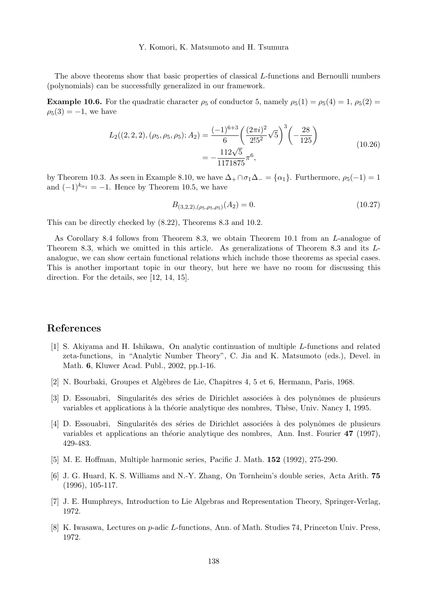The above theorems show that basic properties of classical L-functions and Bernoulli numbers (polynomials) can be successfully generalized in our framework.

**Example 10.6.** For the quadratic character  $\rho_5$  of conductor 5, namely  $\rho_5(1) = \rho_5(4) = 1$ ,  $\rho_5(2) =$  $\rho_5(3) = -1$ , we have

$$
L_2((2,2,2),(\rho_5,\rho_5,\rho_5);A_2) = \frac{(-1)^{6+3}}{6} \left(\frac{(2\pi i)^2}{2!5^2} \sqrt{5}\right)^3 \left(-\frac{28}{125}\right)
$$
  
= 
$$
-\frac{112\sqrt{5}}{1171875} \pi^6,
$$
 (10.26)

by Theorem 10.3. As seen in Example 8.10, we have  $\Delta_+ \cap \sigma_1 \Delta_- = {\alpha_1}$ . Furthermore,  $\rho_5(-1) = 1$ and  $(-1)^{k_{\alpha_1}} = -1$ . Hence by Theorem 10.5, we have

$$
B_{(3,2,2),(\rho_5,\rho_5,\rho_5)}(A_2) = 0. \tag{10.27}
$$

This can be directly checked by (8.22), Theorems 8.3 and 10.2.

As Corollary 8.4 follows from Theorem 8.3, we obtain Theorem 10.1 from an L-analogue of Theorem 8.3, which we omitted in this article. As generalizations of Theorem 8.3 and its Lanalogue, we can show certain functional relations which include those theorems as special cases. This is another important topic in our theory, but here we have no room for discussing this direction. For the details, see [12, 14, 15].

## References

- [1] S. Akiyama and H. Ishikawa, On analytic continuation of multiple L-functions and related zeta-functions, in "Analytic Number Theory", C. Jia and K. Matsumoto (eds.), Devel. in Math. 6, Kluwer Acad. Publ., 2002, pp.1-16.
- [2] N. Bourbaki, Groupes et Alg`ebres de Lie, Chapitres 4, 5 et 6, Hermann, Paris, 1968.
- [3] D. Essouabri, Singularités des séries de Dirichlet associées à des polynômes de plusieurs variables et applications à la théorie analytique des nombres, Thèse, Univ. Nancy I, 1995.
- [4] D. Essouabri, Singularités des séries de Dirichlet associées à des polynômes de plusieurs variables et applications an théorie analytique des nombres, Ann. Inst. Fourier  $47$  (1997), 429-483.
- [5] M. E. Hoffman, Multiple harmonic series, Pacific J. Math. 152 (1992), 275-290.
- [6] J. G. Huard, K. S. Williams and N.-Y. Zhang, On Tornheim's double series, Acta Arith. 75 (1996), 105-117.
- [7] J. E. Humphreys, Introduction to Lie Algebras and Representation Theory, Springer-Verlag, 1972.
- [8] K. Iwasawa, Lectures on p-adic L-functions, Ann. of Math. Studies 74, Princeton Univ. Press, 1972.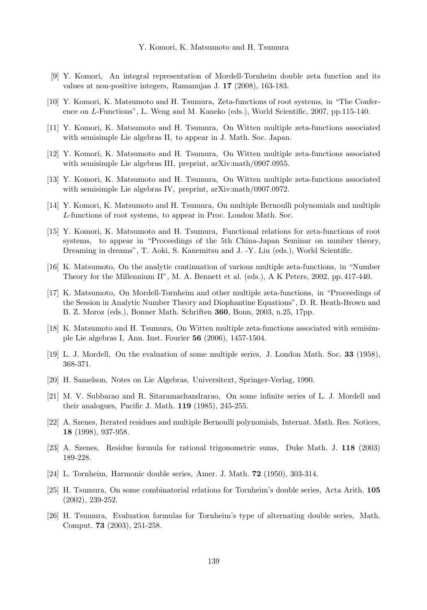- [9] Y. Komori, An integral representation of Mordell-Tornheim double zeta function and its values at non-positive integers, Ramanujan J. 17 (2008), 163-183.
- [10] Y. Komori, K. Matsumoto and H. Tsumura, Zeta-functions of root systems, in "The Conference on L-Functions", L. Weng and M. Kaneko (eds.), World Scientific, 2007, pp.115-140.
- [11] Y. Komori, K. Matsumoto and H. Tsumura, On Witten multiple zeta-functions associated with semisimple Lie algebras II, to appear in J. Math. Soc. Japan.
- [12] Y. Komori, K. Matsumoto and H. Tsumura, On Witten multiple zeta-functions associated with semisimple Lie algebras III, preprint, arXiv:math/0907.0955.
- [13] Y. Komori, K. Matsumoto and H. Tsumura, On Witten multiple zeta-functions associated with semisimple Lie algebras IV, preprint, arXiv:math/0907.0972.
- [14] Y. Komori, K. Matsumoto and H. Tsumura, On multiple Bernoulli polynomials and multiple L-functions of root systems, to appear in Proc. London Math. Soc.
- [15] Y. Komori, K. Matsumoto and H. Tsumura, Functional relations for zeta-functions of root systems, to appear in "Proceedings of the 5th China-Japan Seminar on number theory, Dreaming in dreams", T. Aoki, S. Kanemitsu and J. -Y. Liu (eds.), World Scientific.
- [16] K. Matsumoto, On the analytic continuation of various multiple zeta-functions, in "Number Theory for the Millennium II", M. A. Bennett et al. (eds.), A K Peters, 2002, pp. 417-440.
- [17] K. Matsumoto, On Mordell-Tornheim and other multiple zeta-functions, in "Proceedings of the Session in Analytic Number Theory and Diophantine Equations", D. R. Heath-Brown and B. Z. Moroz (eds.), Bonner Math. Schriften 360, Bonn, 2003, n.25, 17pp.
- [18] K. Matsumoto and H. Tsumura, On Witten multiple zeta-functions associated with semisimple Lie algebras I, Ann. Inst. Fourier 56 (2006), 1457-1504.
- [19] L. J. Mordell, On the evaluation of some multiple series, J. London Math. Soc. 33 (1958), 368-371.
- [20] H. Samelson, Notes on Lie Algebras, Universitext, Springer-Verlag, 1990.
- [21] M. V. Subbarao and R. Sitaramachandrarao, On some infinite series of L. J. Mordell and their analogues, Pacific J. Math. 119 (1985), 245-255.
- [22] A. Szenes, Iterated residues and multiple Bernoulli polynomials, Internat. Math. Res. Notices, 18 (1998), 937-958.
- [23] A. Szenes, Residue formula for rational trigonometric sums, Duke Math. J. 118 (2003) 189-228.
- [24] L. Tornheim, Harmonic double series, Amer. J. Math. 72 (1950), 303-314.
- [25] H. Tsumura, On some combinatorial relations for Tornheim's double series, Acta Arith. 105 (2002), 239-252.
- [26] H. Tsumura, Evaluation formulas for Tornheim's type of alternating double series, Math. Comput. 73 (2003), 251-258.